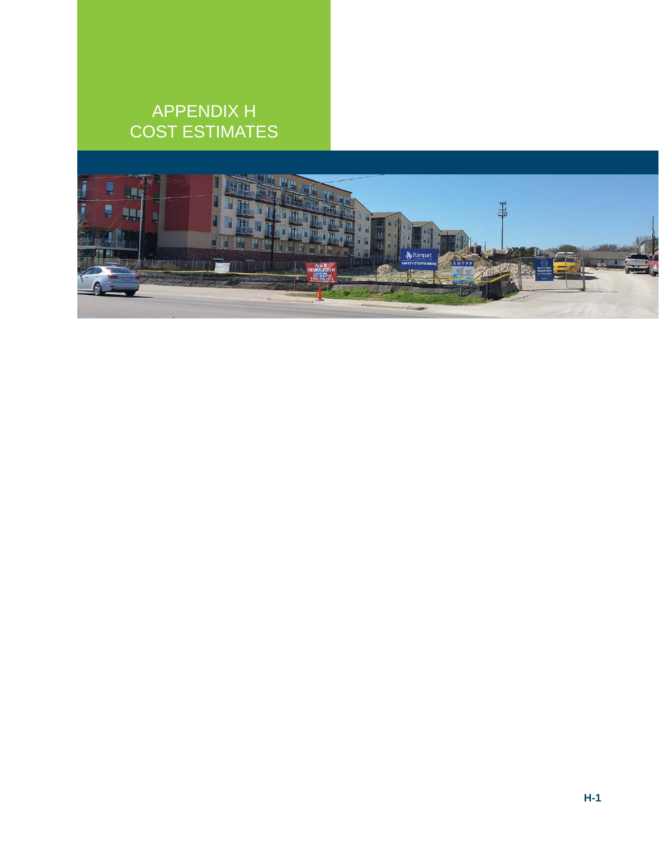# APPENDIX H COST ESTIMATES

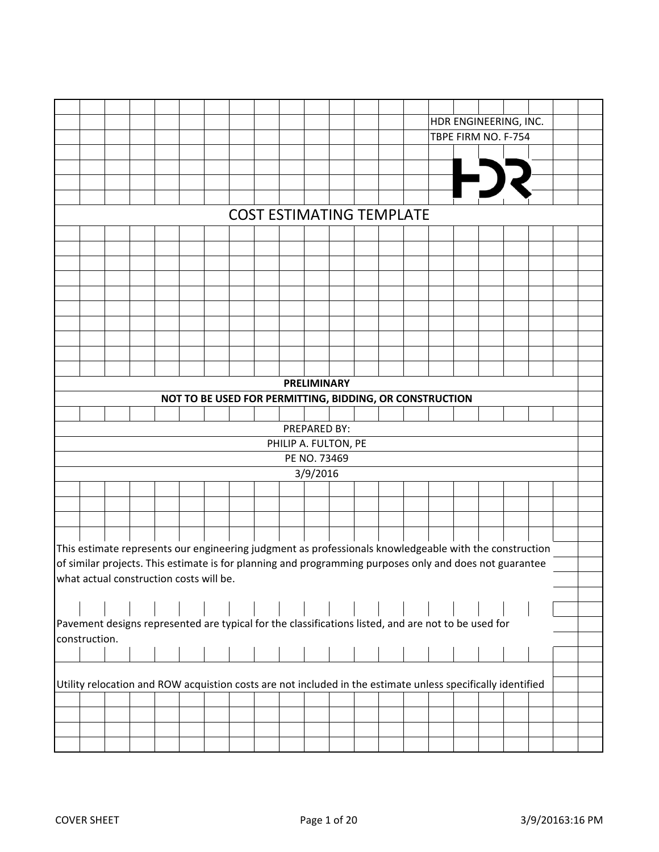|               |  |                                         |                                                         |  |                                 |                    |  |  | HDR ENGINEERING, INC.                                                                                       |  |  |  |
|---------------|--|-----------------------------------------|---------------------------------------------------------|--|---------------------------------|--------------------|--|--|-------------------------------------------------------------------------------------------------------------|--|--|--|
|               |  |                                         |                                                         |  |                                 |                    |  |  | TBPE FIRM NO. F-754                                                                                         |  |  |  |
|               |  |                                         |                                                         |  |                                 |                    |  |  |                                                                                                             |  |  |  |
|               |  |                                         |                                                         |  |                                 |                    |  |  |                                                                                                             |  |  |  |
|               |  |                                         |                                                         |  |                                 |                    |  |  | F)                                                                                                          |  |  |  |
|               |  |                                         |                                                         |  |                                 |                    |  |  |                                                                                                             |  |  |  |
|               |  |                                         |                                                         |  | <b>COST ESTIMATING TEMPLATE</b> |                    |  |  |                                                                                                             |  |  |  |
|               |  |                                         |                                                         |  |                                 |                    |  |  |                                                                                                             |  |  |  |
|               |  |                                         |                                                         |  |                                 |                    |  |  |                                                                                                             |  |  |  |
|               |  |                                         |                                                         |  |                                 |                    |  |  |                                                                                                             |  |  |  |
|               |  |                                         |                                                         |  |                                 |                    |  |  |                                                                                                             |  |  |  |
|               |  |                                         |                                                         |  |                                 |                    |  |  |                                                                                                             |  |  |  |
|               |  |                                         |                                                         |  |                                 |                    |  |  |                                                                                                             |  |  |  |
|               |  |                                         |                                                         |  |                                 |                    |  |  |                                                                                                             |  |  |  |
|               |  |                                         |                                                         |  |                                 |                    |  |  |                                                                                                             |  |  |  |
|               |  |                                         |                                                         |  |                                 |                    |  |  |                                                                                                             |  |  |  |
|               |  |                                         |                                                         |  |                                 |                    |  |  |                                                                                                             |  |  |  |
|               |  |                                         |                                                         |  |                                 |                    |  |  |                                                                                                             |  |  |  |
|               |  |                                         |                                                         |  |                                 | <b>PRELIMINARY</b> |  |  |                                                                                                             |  |  |  |
|               |  |                                         | NOT TO BE USED FOR PERMITTING, BIDDING, OR CONSTRUCTION |  |                                 |                    |  |  |                                                                                                             |  |  |  |
|               |  |                                         |                                                         |  |                                 |                    |  |  |                                                                                                             |  |  |  |
|               |  |                                         |                                                         |  |                                 | PREPARED BY:       |  |  |                                                                                                             |  |  |  |
|               |  |                                         |                                                         |  | PHILIP A. FULTON, PE            |                    |  |  |                                                                                                             |  |  |  |
|               |  |                                         |                                                         |  |                                 | PE NO. 73469       |  |  |                                                                                                             |  |  |  |
|               |  |                                         |                                                         |  |                                 | 3/9/2016           |  |  |                                                                                                             |  |  |  |
|               |  |                                         |                                                         |  |                                 |                    |  |  |                                                                                                             |  |  |  |
|               |  |                                         |                                                         |  |                                 |                    |  |  |                                                                                                             |  |  |  |
|               |  |                                         |                                                         |  |                                 |                    |  |  |                                                                                                             |  |  |  |
|               |  |                                         |                                                         |  |                                 |                    |  |  |                                                                                                             |  |  |  |
|               |  |                                         |                                                         |  |                                 |                    |  |  | This estimate represents our engineering judgment as professionals knowledgeable with the construction      |  |  |  |
|               |  |                                         |                                                         |  |                                 |                    |  |  | of similar projects. This estimate is for planning and programming purposes only and does not guarantee     |  |  |  |
|               |  | what actual construction costs will be. |                                                         |  |                                 |                    |  |  |                                                                                                             |  |  |  |
|               |  |                                         |                                                         |  |                                 |                    |  |  |                                                                                                             |  |  |  |
|               |  |                                         |                                                         |  |                                 |                    |  |  |                                                                                                             |  |  |  |
|               |  |                                         |                                                         |  |                                 |                    |  |  | Pavement designs represented are typical for the classifications listed, and are not to be used for         |  |  |  |
| construction. |  |                                         |                                                         |  |                                 |                    |  |  |                                                                                                             |  |  |  |
|               |  |                                         |                                                         |  |                                 |                    |  |  |                                                                                                             |  |  |  |
|               |  |                                         |                                                         |  |                                 |                    |  |  |                                                                                                             |  |  |  |
|               |  |                                         |                                                         |  |                                 |                    |  |  | Utility relocation and ROW acquistion costs are not included in the estimate unless specifically identified |  |  |  |
|               |  |                                         |                                                         |  |                                 |                    |  |  |                                                                                                             |  |  |  |
|               |  |                                         |                                                         |  |                                 |                    |  |  |                                                                                                             |  |  |  |
|               |  |                                         |                                                         |  |                                 |                    |  |  |                                                                                                             |  |  |  |
|               |  |                                         |                                                         |  |                                 |                    |  |  |                                                                                                             |  |  |  |
|               |  |                                         |                                                         |  |                                 |                    |  |  |                                                                                                             |  |  |  |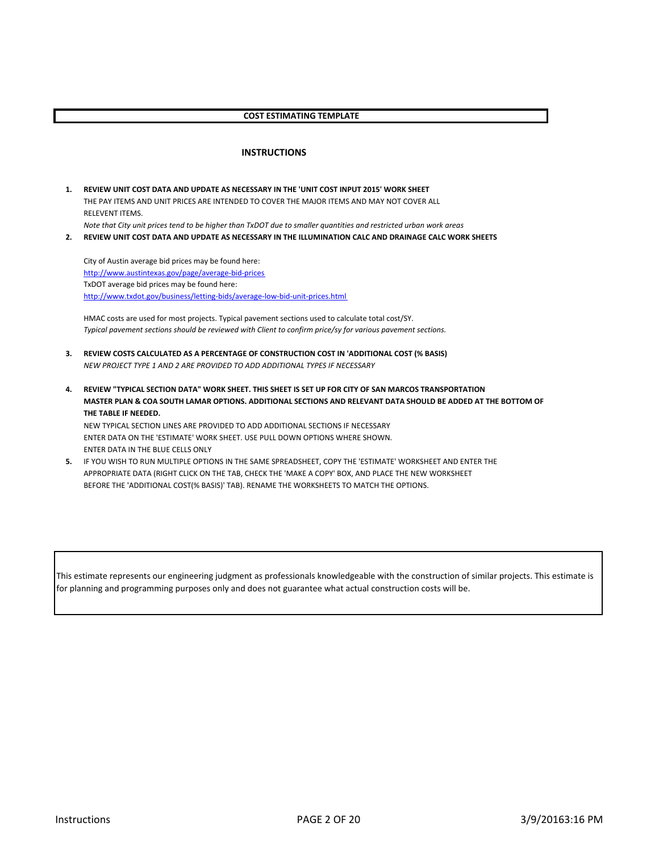#### **COST ESTIMATING TEMPLATE**

#### **INSTRUCTIONS**

**1. REVIEW UNIT COST DATA AND UPDATE AS NECESSARY IN THE 'UNIT COST INPUT 2015' WORK SHEET** THE PAY ITEMS AND UNIT PRICES ARE INTENDED TO COVER THE MAJOR ITEMS AND MAY NOT COVER ALL RELEVENT ITEMS. *Note that City unit prices tend to be higher than TxDOT due to smaller quantities and restricted urban work areas*

**2. REVIEW UNIT COST DATA AND UPDATE AS NECESSARY IN THE ILLUMINATION CALC AND DRAINAGE CALC WORK SHEETS**

City of Austin average bid prices may be found here: http://www.austintexas.gov/page/average-bid-prices TxDOT average bid prices may be found here: http://www.txdot.gov/business/letting-bids/average-low-bid-unit-prices.html

HMAC costs are used for most projects. Typical pavement sections used to calculate total cost/SY. *Typical pavement sections should be reviewed with Client to confirm price/sy for various pavement sections.*

- **3. REVIEW COSTS CALCULATED AS A PERCENTAGE OF CONSTRUCTION COST IN 'ADDITIONAL COST (% BASIS)** *NEW PROJECT TYPE 1 AND 2 ARE PROVIDED TO ADD ADDITIONAL TYPES IF NECESSARY*
- **4. REVIEW "TYPICAL SECTION DATA" WORK SHEET. THIS SHEET IS SET UP FOR CITY OF SAN MARCOS TRANSPORTATION MASTER PLAN & COA SOUTH LAMAR OPTIONS. ADDITIONAL SECTIONS AND RELEVANT DATA SHOULD BE ADDED AT THE BOTTOM OF THE TABLE IF NEEDED.**

NEW TYPICAL SECTION LINES ARE PROVIDED TO ADD ADDITIONAL SECTIONS IF NECESSARY ENTER DATA ON THE 'ESTIMATE' WORK SHEET. USE PULL DOWN OPTIONS WHERE SHOWN. ENTER DATA IN THE BLUE CELLS ONLY

**5.** IF YOU WISH TO RUN MULTIPLE OPTIONS IN THE SAME SPREADSHEET, COPY THE 'ESTIMATE' WORKSHEET AND ENTER THE APPROPRIATE DATA (RIGHT CLICK ON THE TAB, CHECK THE 'MAKE A COPY' BOX, AND PLACE THE NEW WORKSHEET BEFORE THE 'ADDITIONAL COST(% BASIS)' TAB). RENAME THE WORKSHEETS TO MATCH THE OPTIONS.

This estimate represents our engineering judgment as professionals knowledgeable with the construction of similar projects. This estimate is for planning and programming purposes only and does not guarantee what actual construction costs will be.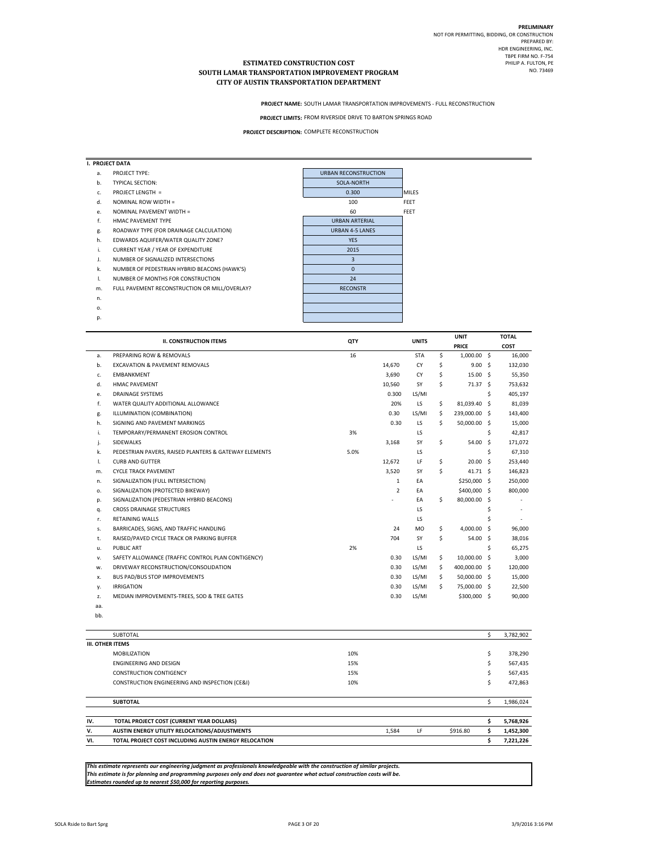**PROJECT NAME:** SOUTH LAMAR TRANSPORTATION IMPROVEMENTS - FULL RECONSTRUCTION

PROJECT LIMITS: FROM RIVERSIDE DRIVE TO BARTON SPRINGS ROAD

**PROJECT DESCRIPTION:** COMPLETE RECONSTRUCTION

|    | I. PROJECT DATA                               |                             |              |
|----|-----------------------------------------------|-----------------------------|--------------|
| a. | PROJECT TYPE:                                 | <b>URBAN RECONSTRUCTION</b> |              |
| b. | <b>TYPICAL SECTION:</b>                       | SOLA-NORTH                  |              |
| c. | <b>PROJECT LENGTH =</b>                       | 0.300                       | <b>MILES</b> |
| d. | NOMINAL ROW WIDTH =                           | 100                         | <b>FEET</b>  |
| e. | NOMINAL PAVEMENT WIDTH =                      | 60                          | <b>FEET</b>  |
| f. | <b>HMAC PAVEMENT TYPE</b>                     | <b>URBAN ARTERIAL</b>       |              |
| g. | ROADWAY TYPE (FOR DRAINAGE CALCULATION)       | <b>URBAN 4-5 LANES</b>      |              |
| h. | EDWARDS AQUIFER/WATER QUALITY ZONE?           | <b>YES</b>                  |              |
| i. | <b>CURRENT YEAR / YEAR OF EXPENDITURE</b>     | 2015                        |              |
| J. | NUMBER OF SIGNALIZED INTERSECTIONS            | 3                           |              |
| k. | NUMBER OF PEDESTRIAN HYBRID BEACONS (HAWK'S)  | $\mathbf{0}$                |              |
| I. | NUMBER OF MONTHS FOR CONSTRUCTION             | 24                          |              |
| m. | FULL PAVEMENT RECONSTRUCTION OR MILL/OVERLAY? | <b>RECONSTR</b>             |              |
| n. |                                               |                             |              |
| o. |                                               |                             |              |
| p. |                                               |                             |              |
|    |                                               |                             |              |

|     | <b>II. CONSTRUCTION ITEMS</b>                         | QTY  |                | <b>UNITS</b> |     | <b>UNIT</b>        |    | <b>TOTAL</b>             |
|-----|-------------------------------------------------------|------|----------------|--------------|-----|--------------------|----|--------------------------|
|     |                                                       |      |                |              |     | <b>PRICE</b>       |    | COST                     |
| a.  | PREPARING ROW & REMOVALS                              | 16   |                | <b>STA</b>   | \$  | 1,000.00 \$        |    | 16,000                   |
| b.  | <b>EXCAVATION &amp; PAVEMENT REMOVALS</b>             |      | 14,670         | CY           | \$  | 9.00 <sup>5</sup>  |    | 132,030                  |
| c.  | <b>FMBANKMFNT</b>                                     |      | 3,690          | CY           | \$  | 15.00 S            |    | 55,350                   |
| d.  | HMAC PAVEMENT                                         |      | 10,560         | SY           | Ś.  | 71.37 <sub>5</sub> |    | 753,632                  |
| e.  | <b>DRAINAGE SYSTEMS</b>                               |      | 0.300          | LS/MI        |     |                    | \$ | 405,197                  |
| f.  | WATER QUALITY ADDITIONAL ALLOWANCE                    |      | 20%            | LS           | \$  | 81,039.40 \$       |    | 81,039                   |
| g.  | ILLUMINATION (COMBINATION)                            |      | 0.30           | LS/MI        | \$  | 239,000.00 \$      |    | 143,400                  |
| h.  | SIGNING AND PAVEMENT MARKINGS                         |      | 0.30           | LS           | Ś.  | 50,000.00 \$       |    | 15,000                   |
| j.  | TEMPORARY/PERMANENT EROSION CONTROL                   | 3%   |                | LS           |     |                    | \$ | 42,817                   |
| j.  | SIDEWALKS                                             |      | 3,168          | SY           | \$  | 54.00 \$           |    | 171,072                  |
| k.  | PEDESTRIAN PAVERS, RAISED PLANTERS & GATEWAY ELEMENTS | 5.0% |                | LS           |     |                    | \$ | 67,310                   |
| Ι.  | <b>CURB AND GUTTER</b>                                |      | 12,672         | LF           | \$  | 20.00 <sub>5</sub> |    | 253,440                  |
| m.  | <b>CYCLE TRACK PAVEMENT</b>                           |      | 3,520          | SY           | Ś.  | 41.71 S            |    | 146,823                  |
| n.  | SIGNALIZATION (FULL INTERSECTION)                     |      | $\mathbf{1}$   | EA           |     | \$250,000 \$       |    | 250,000                  |
| 0.  | SIGNALIZATION (PROTECTED BIKEWAY)                     |      | $\overline{2}$ | EA           |     | \$400,000 \$       |    | 800,000                  |
| p.  | SIGNALIZATION (PEDESTRIAN HYBRID BEACONS)             |      |                | EA           | \$. | 80,000.00 \$       |    | $\overline{\phantom{a}}$ |
| q.  | <b>CROSS DRAINAGE STRUCTURES</b>                      |      |                | LS           |     |                    | \$ | $\overline{\phantom{a}}$ |
| r.  | <b>RETAINING WALLS</b>                                |      |                | LS           |     |                    | \$ | $\overline{\phantom{a}}$ |
| s.  | BARRICADES, SIGNS, AND TRAFFIC HANDLING               |      | 24             | <b>MO</b>    | Ś.  | 4.000.00 \$        |    | 96,000                   |
| t.  | RAISED/PAVED CYCLE TRACK OR PARKING BUFFER            |      | 704            | SY           | Ś.  | 54.00 \$           |    | 38,016                   |
| u.  | <b>PUBLIC ART</b>                                     | 2%   |                | LS           |     |                    | Ś  | 65,275                   |
| v.  | SAFETY ALLOWANCE (TRAFFIC CONTROL PLAN CONTIGENCY)    |      | 0.30           | LS/MI        | \$  | 10.000.00 \$       |    | 3,000                    |
| w.  | DRIVEWAY RECONSTRUCTION/CONSOLIDATION                 |      | 0.30           | LS/MI        | \$  | 400,000.00 \$      |    | 120,000                  |
| x.  | <b>BUS PAD/BUS STOP IMPROVEMENTS</b>                  |      | 0.30           | LS/MI        | Ś.  | 50,000.00 \$       |    | 15,000                   |
| у.  | <b>IRRIGATION</b>                                     |      | 0.30           | LS/MI        | Ś.  | 75,000.00 \$       |    | 22,500                   |
| z.  | MEDIAN IMPROVEMENTS-TREES, SOD & TREE GATES           |      | 0.30           | LS/MI        |     | \$300,000 \$       |    | 90,000                   |
| aa. |                                                       |      |                |              |     |                    |    |                          |

|     | <b>SUBTOTAL</b>                                       |     |       |    |          |    | 3,782,902 |
|-----|-------------------------------------------------------|-----|-------|----|----------|----|-----------|
|     | <b>III. OTHER ITEMS</b>                               |     |       |    |          |    |           |
|     | <b>MOBILIZATION</b>                                   | 10% |       |    |          | \$ | 378,290   |
|     | <b>FNGINFFRING AND DESIGN</b>                         | 15% |       |    |          | Ś  | 567,435   |
|     | <b>CONSTRUCTION CONTIGENCY</b>                        | 15% |       |    |          | Ś  | 567,435   |
|     | CONSTRUCTION ENGINEERING AND INSPECTION (CE&I)        | 10% |       |    |          | Ś  | 472,863   |
|     | <b>SUBTOTAL</b>                                       |     |       |    |          |    | 1,986,024 |
|     |                                                       |     |       |    |          |    |           |
| IV. | TOTAL PROJECT COST (CURRENT YEAR DOLLARS)             |     |       |    |          |    | 5,768,926 |
| v.  | AUSTIN ENERGY UTILITY RELOCATIONS/ADJUSTMENTS         |     | 1,584 | LF | \$916.80 |    | 1,452,300 |
| VI. | TOTAL PROJECT COST INCLUDING AUSTIN ENERGY RELOCATION |     |       |    |          |    | 7,221,226 |

This estimate represents our engineering judgment as professionals knowledgeable with the construction of similar projects.<br>This estimate is for planning and programming purposes only and does not guarantee what actual con

bb.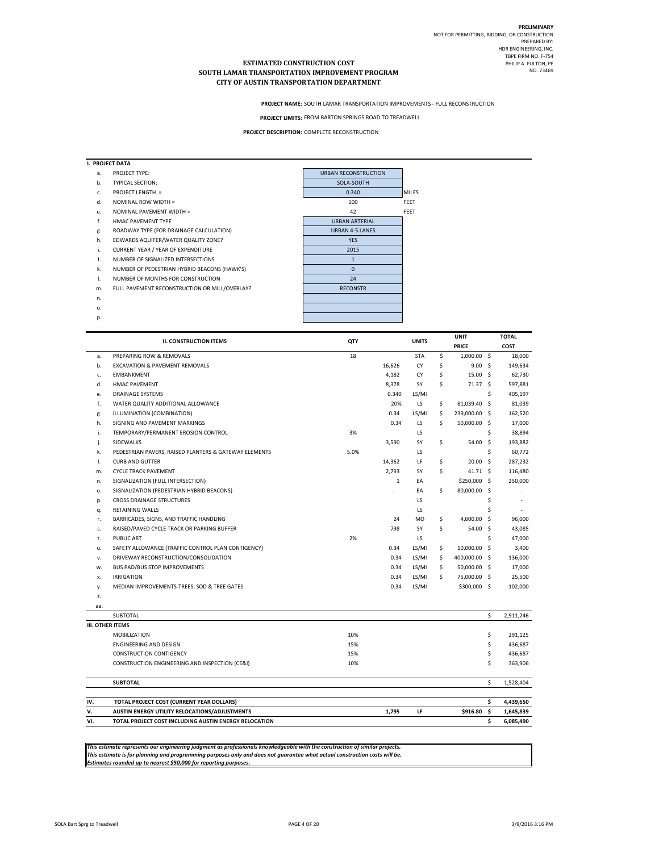**PROJECT NAME:** SOUTH LAMAR TRANSPORTATION IMPROVEMENTS - FULL RECONSTRUCTION

PROJECT LIMITS: FROM BARTON SPRINGS ROAD TO TREADWELL

**PROJECT DESCRIPTION:** COMPLETE RECONSTRUCTION

|    | I. PROJECT DATA                               |                             |              |
|----|-----------------------------------------------|-----------------------------|--------------|
| a. | PROJECT TYPE:                                 | <b>URBAN RECONSTRUCTION</b> |              |
| b. | <b>TYPICAL SECTION:</b>                       | SOLA-SOUTH                  |              |
| c. | <b>PROJECT LENGTH =</b>                       | 0.340                       | <b>MILES</b> |
| d. | NOMINAL ROW WIDTH =                           | 100                         | <b>FEET</b>  |
| e. | NOMINAL PAVEMENT WIDTH =                      | 42                          | <b>FEET</b>  |
| f. | HMAC PAVEMENT TYPE                            | <b>URBAN ARTERIAL</b>       |              |
| g. | ROADWAY TYPE (FOR DRAINAGE CALCULATION)       | <b>URBAN 4-5 LANES</b>      |              |
| h. | EDWARDS AQUIFER/WATER QUALITY ZONE?           | <b>YES</b>                  |              |
| i. | <b>CURRENT YEAR / YEAR OF EXPENDITURE</b>     | 2015                        |              |
| J. | NUMBER OF SIGNALIZED INTERSECTIONS            | $\mathbf{1}$                |              |
| k. | NUMBER OF PEDESTRIAN HYBRID BEACONS (HAWK'S)  | $\mathbf{0}$                |              |
| 1. | NUMBER OF MONTHS FOR CONSTRUCTION             | 24                          |              |
| m. | FULL PAVEMENT RECONSTRUCTION OR MILL/OVERLAY? | <b>RECONSTR</b>             |              |
| n. |                                               |                             |              |
| 0. |                                               |                             |              |
| p. |                                               |                             |              |
|    |                                               |                             |              |

|                         |                                                       |      |              |              | <b>UNIT</b>             |              | <b>TOTAL</b> |
|-------------------------|-------------------------------------------------------|------|--------------|--------------|-------------------------|--------------|--------------|
|                         | <b>II. CONSTRUCTION ITEMS</b>                         | QTY  |              | <b>UNITS</b> | <b>PRICE</b>            |              | COST         |
| a.                      | PREPARING ROW & REMOVALS                              | 18   |              | <b>STA</b>   | \$<br>1,000.00 \$       |              | 18,000       |
| b.                      | <b>EXCAVATION &amp; PAVEMENT REMOVALS</b>             |      | 16,626       | CY           | \$<br>9.00 <sub>5</sub> |              | 149,634      |
| c.                      | <b>EMBANKMENT</b>                                     |      | 4,182        | CY           | \$<br>15.00 \$          |              | 62,730       |
| d.                      | <b>HMAC PAVEMENT</b>                                  |      | 8,378        | SY           | \$<br>71.37 \$          |              | 597,881      |
| е.                      | <b>DRAINAGE SYSTEMS</b>                               |      | 0.340        | LS/MI        |                         | \$           | 405,197      |
| f.                      | WATER QUALITY ADDITIONAL ALLOWANCE                    |      | 20%          | LS           | \$<br>81,039.40 \$      |              | 81,039       |
| g.                      | ILLUMINATION (COMBINATION)                            |      | 0.34         | LS/MI        | \$<br>239,000.00 \$     |              | 162,520      |
| h.                      | SIGNING AND PAVEMENT MARKINGS                         |      | 0.34         | LS           | \$<br>50,000.00 \$      |              | 17,000       |
| i.                      | TEMPORARY/PERMANENT EROSION CONTROL                   | 3%   |              | LS           |                         | \$           | 38,894       |
| j.                      | SIDEWALKS                                             |      | 3,590        | SY           | \$<br>54.00 \$          |              | 193,882      |
| k.                      | PEDESTRIAN PAVERS, RAISED PLANTERS & GATEWAY ELEMENTS | 5.0% |              | LS           |                         | \$           | 60,772       |
| L.                      | <b>CURB AND GUTTER</b>                                |      | 14,362       | LF           | \$<br>$20.00$ \$        |              | 287,232      |
| m.                      | <b>CYCLE TRACK PAVEMENT</b>                           |      | 2,793        | SY           | \$<br>41.71 \$          |              | 116,480      |
| n.                      | SIGNALIZATION (FULL INTERSECTION)                     |      | $\mathbf{1}$ | FA           | \$250,000 \$            |              | 250,000      |
| 0.                      | SIGNALIZATION (PEDESTRIAN HYBRID BEACONS)             |      |              | EA           | \$<br>80,000.00 \$      |              |              |
| p.                      | <b>CROSS DRAINAGE STRUCTURES</b>                      |      |              | LS           |                         | \$           | ÷,           |
| q.                      | <b>RETAINING WALLS</b>                                |      |              | LS           |                         | Ś            | ٠            |
| r.                      | BARRICADES, SIGNS, AND TRAFFIC HANDLING               |      | 24           | MO           | \$<br>4,000.00          | $\mathsf{S}$ | 96,000       |
| s.                      | RAISED/PAVED CYCLE TRACK OR PARKING BUFFER            |      | 798          | SY           | \$<br>54.00 \$          |              | 43,085       |
| t.                      | <b>PUBLIC ART</b>                                     | 2%   |              | LS           |                         | \$           | 47,000       |
| u.                      | SAFETY ALLOWANCE (TRAFFIC CONTROL PLAN CONTIGENCY)    |      | 0.34         | LS/MI        | \$<br>10,000.00 \$      |              | 3,400        |
| v.                      | DRIVEWAY RECONSTRUCTION/CONSOLIDATION                 |      | 0.34         | LS/MI        | \$<br>400,000.00 \$     |              | 136,000      |
| w.                      | BUS PAD/BUS STOP IMPROVEMENTS                         |      | 0.34         | LS/MI        | \$<br>50,000.00 \$      |              | 17,000       |
| х.                      | <b>IRRIGATION</b>                                     |      | 0.34         | LS/MI        | \$<br>75,000.00 \$      |              | 25,500       |
| у.                      | MEDIAN IMPROVEMENTS-TREES, SOD & TREE GATES           |      | 0.34         | LS/MI        | \$300,000 \$            |              | 102,000      |
| z.                      |                                                       |      |              |              |                         |              |              |
| aa.                     |                                                       |      |              |              |                         |              |              |
|                         | SUBTOTAL                                              |      |              |              |                         | \$           | 2,911,246    |
| <b>III. OTHER ITEMS</b> |                                                       |      |              |              |                         |              |              |
|                         | <b>MOBILIZATION</b>                                   | 10%  |              |              |                         | \$           | 291,125      |
|                         | <b>ENGINEERING AND DESIGN</b>                         | 15%  |              |              |                         | \$           | 436,687      |
|                         | <b>CONSTRUCTION CONTIGENCY</b>                        | 15%  |              |              |                         | \$           | 436,687      |
|                         | CONSTRUCTION ENGINEERING AND INSPECTION (CE&I)        | 10%  |              |              |                         | \$           | 363,906      |
|                         | <b>SUBTOTAL</b>                                       |      |              |              |                         | \$           | 1,528,404    |
| IV.                     | TOTAL PROJECT COST (CURRENT YEAR DOLLARS)             |      |              |              |                         | \$           | 4,439,650    |
| v.                      | AUSTIN ENERGY UTILITY RELOCATIONS/ADJUSTMENTS         |      | 1,795        | LF           | \$916.80                | \$           | 1,645,839    |
| VI.                     | TOTAL PROJECT COST INCLUDING AUSTIN ENERGY RELOCATION |      |              |              |                         | \$           | 6.085.490    |

*This estimate represents our engineering judgment as professionals knowledgeable with the construction of similar projects. This estimate is for planning and programming purposes only and does not guarantee what actual construction costs will be. Estimates rounded up to nearest \$50,000 for reporting purposes.*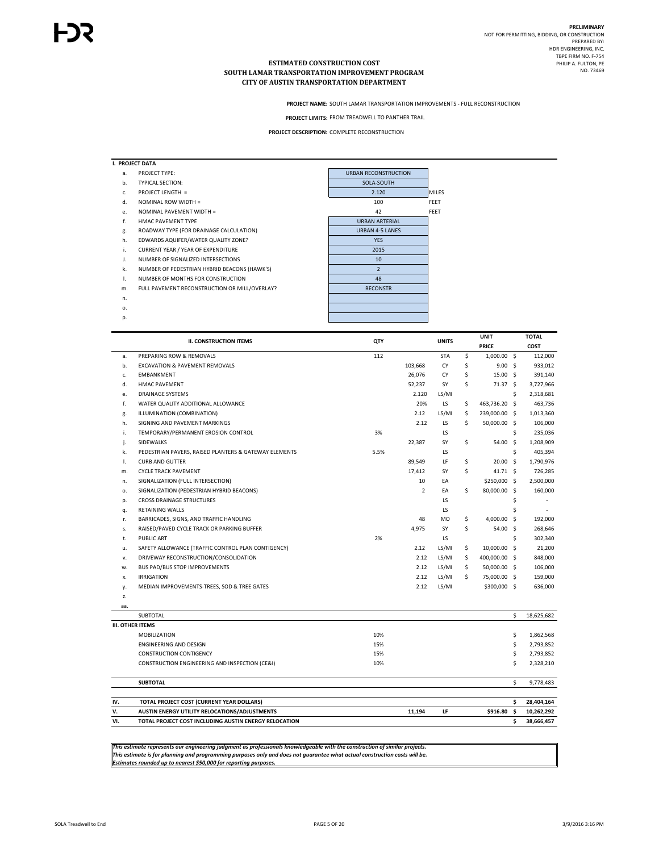p.

#### **ESTIMATED CONSTRUCTION COST SOUTH LAMAR TRANSPORTATION IMPROVEMENT PROGRAM CITY OF AUSTIN TRANSPORTATION DEPARTMENT**

**PROJECT NAME:** SOUTH LAMAR TRANSPORTATION IMPROVEMENTS - FULL RECONSTRUCTION

PROJECT LIMITS: FROM TREADWELL TO PANTHER TRAIL

**PROJECT DESCRIPTION:** COMPLETE RECONSTRUCTION

|    | I. PROJECT DATA                               |                             |              |
|----|-----------------------------------------------|-----------------------------|--------------|
| a. | PROJECT TYPE:                                 | <b>URBAN RECONSTRUCTION</b> |              |
| b. | <b>TYPICAL SECTION:</b>                       | SOLA-SOUTH                  |              |
| c. | PROJECT LENGTH =                              | 2.120                       | <b>MILES</b> |
| d. | NOMINAL ROW WIDTH =                           | 100                         | FEET         |
| e. | NOMINAL PAVEMENT WIDTH =                      | 42                          | FEET         |
| f. | HMAC PAVEMENT TYPE                            | <b>URBAN ARTERIAL</b>       |              |
| g. | ROADWAY TYPE (FOR DRAINAGE CALCULATION)       | <b>URBAN 4-5 LANES</b>      |              |
| h. | EDWARDS AQUIFER/WATER QUALITY ZONE?           | <b>YES</b>                  |              |
| i. | <b>CURRENT YEAR / YEAR OF EXPENDITURE</b>     | 2015                        |              |
| J. | NUMBER OF SIGNALIZED INTERSECTIONS            | 10                          |              |
| k. | NUMBER OF PEDESTRIAN HYBRID BEACONS (HAWK'S)  | $\overline{2}$              |              |
| Ι. | NUMBER OF MONTHS FOR CONSTRUCTION             | 48                          |              |
| m. | FULL PAVEMENT RECONSTRUCTION OR MILL/OVERLAY? | <b>RECONSTR</b>             |              |
| n. |                                               |                             |              |
| 0. |                                               |                             |              |

**UNIT TOTAL PRICE COST** a. PREPARING ROW & REMOVALS **112** 5TA \$ 1,000.00 \$ 112,000 \$ 112,000 \$ 112,000 \$ 112,000 \$ 112,000 \$ 112,000 \$ 112,000 \$ 112,000 \$ 112,000 \$ 112,000 \$ 112,000 \$ 112,000 \$ 112,000 \$ 112,000 \$ 112,000 \$ 112,000 \$ 112,000 \$ 1 b. EXCAVATION & PAVEMENT REMOVALS **EXCAVATION & PAVEMENT REMOVALS CY** 103,668 **CY** 103,668 **CY** 5 9.00 \$ 933,012 c. EMBANKMENT CY 15.00 26,076 \$ 391,140 \$ d. HMAC PAVEMENT **S2.237** SY \$ 3,727,966 \$ 3,727,966 e. DRAINAGE SYSTEMS 2.120 LS/MI 2,318,681 \$ f. WATER QUALITY ADDITIONAL ALLOWANCE 20% LS 463,736.20 \$ 463,736 \$ g. ILLUMINATION (COMBINATION) 
(B. 2.12 LS/MI  $\zeta$  239,000.00  $\zeta$  1,013,360 h. SIGNING AND PAVEMENT MARKINGS **2.12** LS \$ 50,000.00 \$ 106,000 i. TEMPORARY/PERMANENT EROSION CONTROL 3% LS 235,036 \$ j. SIDEWALKS SY 54.00 22,387 \$ 1,208,909 \$ k. PEDESTRIAN PAVERS, RAISED PLANTERS & GATEWAY ELEMENTS 6 1 1 2 3 405,394 5 1 405,394 l. CURB AND GUTTER LF 20.00 89,549 \$ 1,790,976 \$ m. CYCLE TRACK PAVEMENT **STACK ASSESSED AT A STACK ASSESSED A** 17,412 SY \$41.71 \$726,285 n. SIGNALIZATION (FULL INTERSECTION) 
and the state of the state of the state of the state of the state of the state of the state of the state of the state of the state of the state of the state of the state of the state o o. SIGNALIZATION (PEDESTRIAN HYBRID BEACONS) each company of the company of the company of the company of the company of the company of the company of the company of the company of the company of the company of the company p. CROSS DRAINAGE STRUCTURES And the state of the state of the state of the state of the state of the state of the state of the state of the state of the state of the state of the state of the state of the state of the sta q. RETAINING WALLS LS \$ r. BARRICADES, SIGNS, AND TRAFFIC HANDLING **Mode and Strategies and ASS 4,000.00** \$ 192,000 s. RAISED/PAVED CYCLE TRACK OR PARKING BUFFER SY 54.00 \$268,646 t. PUBLIC ART 2% LS 302,340 \$ u. SAFETY ALLOWANCE (TRAFFIC CONTROL PLAN CONTIGENCY) LATER STAND 19 2.12 LS/MI 5 10,000.00 \$ 21,200 v. DRIVEWAY RECONSTRUCTION/CONSOLIDATION 2.12 LS/MI 400,000.00 \$ 848,000 \$ w. BUS PAD/BUS STOP IMPROVEMENTS **2.12 LS/MI 50,000.00 \$** 106,000 \$ x. IRRIGATION 2.12 LS/MI 75,000.00 \$ 159,000 \$ y. MEDIAN IMPROVEMENTS-TREES, SOD & TREE GATES 2.12 LS/MI \$300,000 636,000 \$ z. aa.  ${\sf SUBTOTAL}$  , the substitution of the set of the set of the set of the set of the set of the set of the set of the set of the set of the set of the set of the set of the set of the set of the set of the set of the set of the **III. OTHER ITEMS**  $\text{MOBILIZATION} \quad \text{362,568}$ ENGINEERING AND DESIGN 6 2,793,852 CONSTRUCTION CONTIGENCY **15%** \$ 2,793,852 CONSTRUCTION ENGINEERING AND INSPECTION (CE&I) 10% 10% 10% 5 2,328,210 **SUBTOTAL** \$ 9,778,483 **IV. TOTAL PROJECT COST (CURRENT YEAR DOLLARS) \$ 28,404,164 V.** AUSTIN ENERGY UTILITY RELOCATIONS/ADJUSTMENTS **Reserves and the set of a set of the system of the system of a set of a set of a set of a set of a set of a set of a set of a set of a set of a set of a set of a set of a VI. TOTAL PROJECT COST INCLUDING AUSTIN ENERGY RELOCATION \$ 38,666,457 II. CONSTRUCTION ITEMS QTY UNITS**

*This estimate represents our engineering judgment as professionals knowledgeable with the construction of similar projects. This estimate is for planning and programming purposes only and does not guarantee what actual construction costs will be. Estimates rounded up to nearest \$50,000 for reporting purposes.*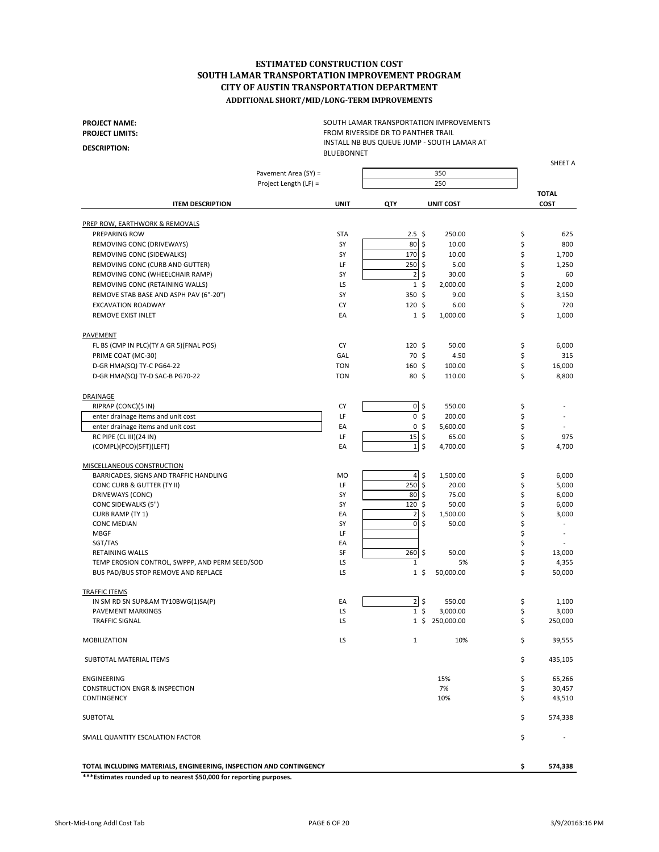**PROJECT NAME: PROJECT LIMITS:**

**DESCRIPTION:**

SOUTH LAMAR TRANSPORTATION IMPROVEMENTS FROM RIVERSIDE DR TO PANTHER TRAIL INSTALL NB BUS QUEUE JUMP - SOUTH LAMAR AT BLUEBONNET

|                                                                                       | Pavement Area (SY) =  |                           | 350              |          |                      |
|---------------------------------------------------------------------------------------|-----------------------|---------------------------|------------------|----------|----------------------|
|                                                                                       | Project Length (LF) = |                           | 250              |          |                      |
| <b>ITEM DESCRIPTION</b>                                                               | <b>UNIT</b>           | QTY                       | <b>UNIT COST</b> |          | <b>TOTAL</b><br>COST |
| PREP ROW, EARTHWORK & REMOVALS                                                        |                       |                           |                  |          |                      |
| PREPARING ROW                                                                         | <b>STA</b>            | $2.5\;$ \$                | 250.00           | \$       | 625                  |
| REMOVING CONC (DRIVEWAYS)                                                             | SY                    | 80<br>S.                  | 10.00            | \$       | 800                  |
| REMOVING CONC (SIDEWALKS)                                                             | SY                    | 170 \$                    | 10.00            | \$       | 1,700                |
| REMOVING CONC (CURB AND GUTTER)                                                       | LF                    | $250$ \$                  | 5.00             | \$       | 1,250                |
| REMOVING CONC (WHEELCHAIR RAMP)                                                       | SY                    | $\overline{2}$<br>\$      | 30.00            | \$       | 60                   |
| REMOVING CONC (RETAINING WALLS)                                                       | LS                    | 1 <sup>5</sup>            | 2,000.00         | \$       | 2,000                |
| REMOVE STAB BASE AND ASPH PAV (6"-20")                                                | SY                    | 350 \$                    | 9.00             | \$       | 3,150                |
| EXCAVATION ROADWAY                                                                    | CY                    | $120 \;$ \$               | 6.00             | \$       | 720                  |
| <b>REMOVE EXIST INLET</b>                                                             | EA                    | $1\;$ \$                  | 1,000.00         | \$       | 1,000                |
|                                                                                       |                       |                           |                  |          |                      |
| PAVEMENT                                                                              |                       |                           |                  |          |                      |
| FL BS (CMP IN PLC)(TY A GR 5)(FNAL POS)                                               | CY                    | $120 \;$ \$               | 50.00            | \$       | 6,000                |
| PRIME COAT (MC-30)                                                                    | GAL                   | 70 \$                     | 4.50             | \$       | 315                  |
| D-GR HMA(SQ) TY-C PG64-22                                                             | <b>TON</b>            | 160 <sup>5</sup>          | 100.00           | \$       | 16,000               |
| D-GR HMA(SQ) TY-D SAC-B PG70-22                                                       | <b>TON</b>            | 80, 5                     | 110.00           | \$       | 8,800                |
| DRAINAGE                                                                              |                       |                           |                  |          |                      |
| RIPRAP (CONC)(5 IN)                                                                   | СY                    | $0\overline{5}$           | 550.00           | \$       |                      |
| enter drainage items and unit cost                                                    | LF                    | 0\$                       | 200.00           | \$       |                      |
| enter drainage items and unit cost                                                    | EA                    | 0 <sup>5</sup>            | 5,600.00         | \$       |                      |
| RC PIPE (CL III)(24 IN)                                                               | LF                    | 15<br>\$                  | 65.00            | \$       | 975                  |
| (COMPL)(PCO)(5FT)(LEFT)                                                               | EA                    | $1\overline{\phantom{0}}$ | 4,700.00         | \$       | 4,700                |
| <b>MISCELLANEOUS CONSTRUCTION</b>                                                     |                       |                           |                  |          |                      |
| BARRICADES, SIGNS AND TRAFFIC HANDLING                                                | <b>MO</b>             | $4\overline{\smash{5}}$   | 1,500.00         | \$       | 6,000                |
| CONC CURB & GUTTER (TY II)                                                            | LF                    | 250<br>\$                 | 20.00            | \$       | 5,000                |
| DRIVEWAYS (CONC)                                                                      | SY                    | 80<br>\$                  | 75.00            | \$       | 6,000                |
| CONC SIDEWALKS (5")                                                                   | SY                    | S.<br>120                 | 50.00            | \$       | 6,000                |
| CURB RAMP (TY 1)                                                                      | EA                    | \$<br>$\overline{2}$      | 1,500.00         | \$       | 3,000                |
| <b>CONC MEDIAN</b>                                                                    | SY                    | \$<br>$\mathbf{0}$        | 50.00            | \$       |                      |
| <b>MBGF</b>                                                                           | LF                    |                           |                  | \$       |                      |
| SGT/TAS                                                                               | EA                    |                           |                  | \$       |                      |
| RETAINING WALLS                                                                       | SF                    | 260<br>\$                 | 50.00            | \$       | 13,000               |
|                                                                                       | LS                    | $\mathbf{1}$              | 5%               |          |                      |
| TEMP EROSION CONTROL, SWPPP, AND PERM SEED/SOD<br>BUS PAD/BUS STOP REMOVE AND REPLACE | LS                    | $1\,$ \$                  | 50,000.00        | \$<br>\$ | 4,355                |
|                                                                                       |                       |                           |                  |          | 50,000               |
| <b>TRAFFIC ITEMS</b>                                                                  |                       |                           |                  |          |                      |
| IN SM RD SN SUP&AM TY10BWG(1)SA(P)                                                    | EA                    | $2$ \$                    | 550.00           | \$       | 1,100                |
| <b>PAVEMENT MARKINGS</b>                                                              | LS                    | 1 <sup>5</sup>            | 3,000.00         | \$       | 3,000                |
| <b>TRAFFIC SIGNAL</b>                                                                 | LS                    | $1\,$ \$                  | 250,000.00       | \$       | 250,000              |
| <b>MOBILIZATION</b>                                                                   | LS                    | $\mathbf{1}$              | 10%              | \$       | 39,555               |
| SUBTOTAL MATERIAL ITEMS                                                               |                       |                           |                  | \$       | 435,105              |
| ENGINEERING                                                                           |                       |                           | 15%              | \$       | 65,266               |
| <b>CONSTRUCTION ENGR &amp; INSPECTION</b>                                             |                       |                           | 7%               | \$       | 30,457               |
| <b>CONTINGENCY</b>                                                                    |                       |                           | 10%              | \$       | 43,510               |
| SUBTOTAL                                                                              |                       |                           |                  | \$       | 574,338              |
| SMALL QUANTITY ESCALATION FACTOR                                                      |                       |                           |                  | \$       |                      |
|                                                                                       |                       |                           |                  |          |                      |
| TOTAL INCLUDING MATERIALS, ENGINEERING, INSPECTION AND CONTINGENCY                    |                       |                           |                  | \$       | 574,338              |

**\*\*\*Estimates rounded up to nearest \$50,000 for reporting purposes.**

SHEET A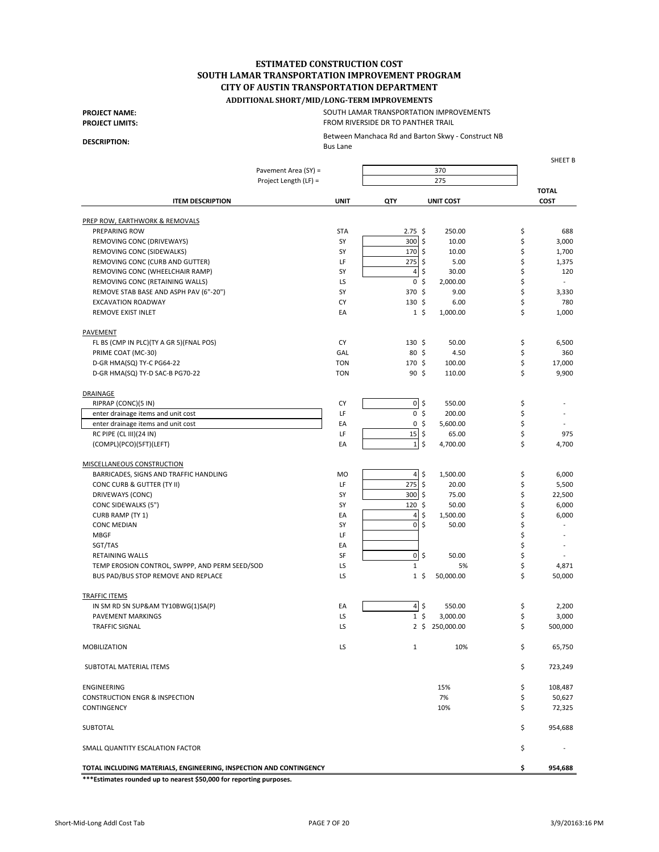#### **ADDITIONAL SHORT/MID/LONG-TERM IMPROVEMENTS**

**PROJECT NAME: PROJECT LIMITS:**

#### SOUTH LAMAR TRANSPORTATION IMPROVEMENTS FROM RIVERSIDE DR TO PANTHER TRAIL

Between Manchaca Rd and Barton Skwy - Construct NB Bus Lane

**DESCRIPTION:**

SHEET B Pavement Area (SY) = Project Length (LF) = **TOTAL ITEM DESCRIPTION UNIT QTY UNIT COST COST** PREP ROW, EARTHWORK & REMOVALS PREPARING ROW STA 2.75 250.00 \$ 688 \$ REMOVING CONC (DRIVEWAYS) SY THE SERIES ON CHARGE STATES AND STATES ON A SUBSEXTANCE ON STATES AND STATES AND STATES AND STATES AND STATES AND STATES AND STATES AND STATES AND STATES AND STATES AND STATES AND STATES AND ST REMOVING CONC (SIDEWALKS) THE REMOVING CONC (SIDEWALKS) SY THE REMOVING CONC (SIDEWALKS) REMOVING CONC (CURB AND GUTTER) LE LE 275 \$5.00 \$1,375 REMOVING CONC (WHEELCHAIR RAMP) THE REMOVING CONC (WHEELCHAIR RAMP) SY THE STATE AND STATE AND STATE AND STATE AND STATE AND STATE AND STATE AND STATE AND STATE AND STATE AND STATE AND STATE AND STATE AND STATE AND STATE A REMOVING CONC (RETAINING WALLS)  $\begin{array}{ccc} \text{REW} & \text{REW} \end{array}$  and  $\begin{array}{ccc} \text{REW} & \text{REW} \end{array}$   $\begin{array}{ccc} \text{REW} & \text{REW} \end{array}$   $\begin{array}{ccc} \text{REW} & \text{REW} \end{array}$ REMOVE STAB BASE AND ASPH PAV (6"-20") SY 58 370 \$9.00 \$3,330 EXCAVATION ROADWAY CY 130 6.00 \$ 780 \$ REMOVE EXIST INLET **EXIST IN EXIST IN EXIST IN EXIST IN EXIST IN EXIST IN EXIST IN EXIST IN EXIST IN EXIST IN EXIST IN EXIST IN EXIST IN EXIST IN EXIST IN EXIST IN EXIST IN EXIST IN EXIST IN EXIST IN EXIST IN EXIST IN EXIS** PAVEMENT FL BS (CMP IN PLC)(TY A GR 5)(FNAL POS) CY 130 \$50.00 \$6,500 \$6,500 PRIME COAT (MC-30) GAL 80 4.50 \$ 360 \$ D-GR HMA(SQ) TY-C PG64-22 TON 170 100.00 \$ 17,000 \$ D-GR HMA(SQ) TY-D SAC-B PG70-22 **TON** TON 90 \$ 110.00 \$ 9,900 DRAINAGE RIPRAP (CONC)(5 IN) S50.00 \$ enter drainage items and unit cost the state of the state of the state of the state of the state of the state of the state of the state of the state of the state of the state of the state of the state of the state of the s enter drainage items and unit cost the state of the state of the state of the state of the state of the state of the state of the state of the state of the state of the state of the state of the state of the state of the s RC PIPE (CL III)(24 IN)  $\begin{bmatrix} 15 & 5 & 65.00 \end{bmatrix}$  55.00 \$ 975  $(COMPL)(PCO)(SET)(LEFT)$  EA  $\begin{bmatrix} 1 & 3 & 4 & 700 & 00 \\ 1 & -1 & 1 & 4 & 4 & 700 & 0 \\ 1 & 1 & 1 & 1 & 1 & 1 \end{bmatrix}$ MISCELLANEOUS CONSTRUCTION BARRICADES, SIGNS AND TRAFFIC HANDLING  $\begin{bmatrix} 4 & 5 & 1,500.00 \end{bmatrix}$   $\begin{bmatrix} 4 & 5 & 1,500.00 \end{bmatrix}$   $\begin{bmatrix} 5 & 6,000 \end{bmatrix}$ CONC CURB & GUTTER (TY II) And the concerned of the concerned of the concerned of the concerned of the concerned of the concerned of the concerned of the concerned of the concerned of the concerned of the concerned of the DRIVEWAYS (CONC) **SAULTER SY STAR SUBSET ASSESSED** STATES AND STATES ON STARTING STATES ON STATES ASSESSED ASSESSED ASSESSED ASSESSED ASSESSED AND STATES OF STATES AND STATES AND STATES OF STATES AND STATES OF STATES AND S CONC SIDEWALKS (5") SY 50.00 \$6,000 CURB RAMP (TY 1)  $A = \begin{bmatrix} 1 & 1 & 1 \\ 1 & 2 & 1 \end{bmatrix}$   $A = \begin{bmatrix} 4 & 5 & 1,500.00 \\ 1,5 & 0.00 & 5 \end{bmatrix}$  6,000  $\begin{array}{ccc} \text{CONC MEDIAN} \end{array}$  , and the sympath  $\begin{array}{ccc} \text{SY} & & \text{ } \text{O} \mid \text{\$} & \text{ } \text{50.00} \end{array}$ MBGF LF \$ -  $\begin{array}{ccc} \text{SGT/TAS} \end{array}$ RETAINING WALLS SF 0 50.00 \$ - \$ TEMP EROSION CONTROL, SWPPP, AND PERM SEED/SOD LS LS 1 5% 5% 4,871 BUS PAD/BUS STOP REMOVE AND REPLACE THE RESERVE LS TO A LS TO,000.00 \$ 50,000 \$ 50,000 TRAFFIC ITEMS IN SM RD SN SUP&AM TY10BWG(1)SA(P)  $A = \begin{bmatrix} 4 & 5 & 550.00 & 5 & 2,200 \end{bmatrix}$ PAVEMENT MARKINGS 6 3,000 \$ 3,000 \$ 3,000 \$ 3,000 \$ 3,000 \$ 3,000 \$ 3,000 \$ 3,000 \$  $\sqrt{3}$ TRAFFIC SIGNAL 500,000 \$ 500,000 \$ 500,000 \$ 500,000 \$ 500,000 \$ \$ 500,000 \$ \$ 500,000 \$ \$ 500,000 \$ \$ 500,000 \$ \$ 500,000 \$ \$ 500,000 \$ \$ 500,000 \$ \$ 500,000 \$ \$ 500,000 \$ \$ 500,000 \$ \$ 500,000 \$ \$ 500,000 \$ \$ 500,000 \$ \$ MOBILIZATION LS 1 10% 65,750 \$ SUBTOTAL MATERIAL ITEMS \$ 723,249 ENGINEERING  $\zeta$  108,487  $\zeta$  108,487  $\zeta$ CONSTRUCTION ENGR & INSPECTION **100 ASSESS 50,627 50,627 50,627 50,627 50,627**  $\sim$  10%  $\sim$  5  $\sim$  72,325  $\sim$  ${\sf SUBTOTAL} \$ SMALL QUANTITY ESCALATION FACTOR  $\zeta$ **TOTAL INCLUDING MATERIALS, ENGINEERING, INSPECTION AND CONTINGENCY \$ 954,688** 370 275

**\*\*\*Estimates rounded up to nearest \$50,000 for reporting purposes.**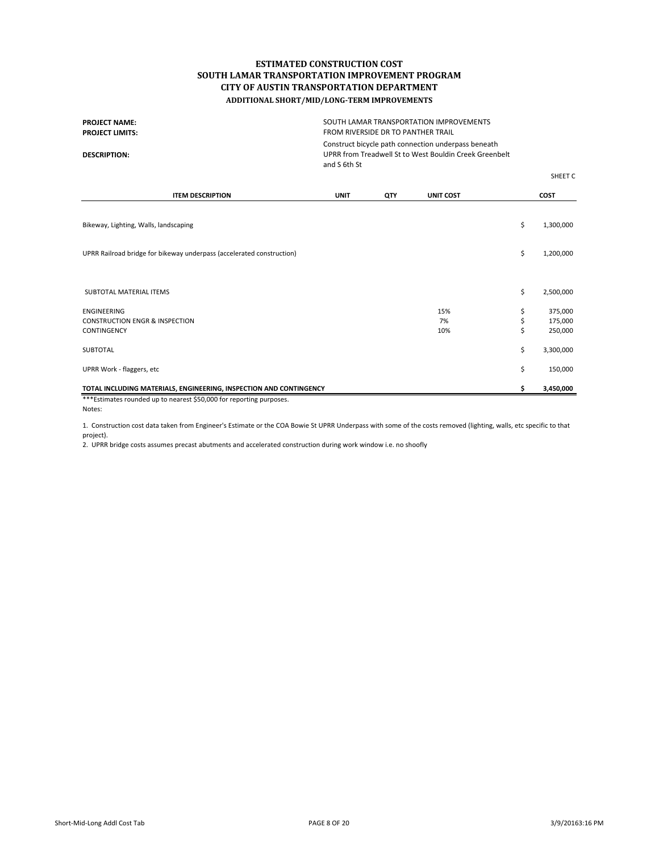| SOUTH LAMAR TRANSPORTATION IMPROVEMENTS<br><b>PROJECT NAME:</b><br>FROM RIVERSIDE DR TO PANTHER TRAIL<br><b>PROJECT LIMITS:</b><br>Construct bicycle path connection underpass beneath<br>UPRR from Treadwell St to West Bouldin Creek Greenbelt<br><b>DESCRIPTION:</b><br>and S 6th St |             |     |                  |    |             |
|-----------------------------------------------------------------------------------------------------------------------------------------------------------------------------------------------------------------------------------------------------------------------------------------|-------------|-----|------------------|----|-------------|
|                                                                                                                                                                                                                                                                                         |             |     |                  |    | SHEET C     |
| <b>ITEM DESCRIPTION</b>                                                                                                                                                                                                                                                                 | <b>UNIT</b> | QTY | <b>UNIT COST</b> |    | <b>COST</b> |
| Bikeway, Lighting, Walls, landscaping                                                                                                                                                                                                                                                   |             |     |                  | \$ | 1,300,000   |
| UPRR Railroad bridge for bikeway underpass (accelerated construction)                                                                                                                                                                                                                   |             |     |                  | \$ | 1,200,000   |
| SUBTOTAL MATERIAL ITEMS                                                                                                                                                                                                                                                                 |             |     |                  | \$ | 2,500,000   |
| <b>ENGINEERING</b>                                                                                                                                                                                                                                                                      |             |     | 15%              | \$ | 375,000     |
| <b>CONSTRUCTION ENGR &amp; INSPECTION</b>                                                                                                                                                                                                                                               |             |     | 7%               | \$ | 175,000     |
| CONTINGENCY                                                                                                                                                                                                                                                                             |             |     | 10%              | \$ | 250,000     |
| <b>SUBTOTAL</b>                                                                                                                                                                                                                                                                         |             |     |                  | \$ | 3,300,000   |
| UPRR Work - flaggers, etc                                                                                                                                                                                                                                                               |             |     |                  | \$ | 150,000     |
| TOTAL INCLUDING MATERIALS, ENGINEERING, INSPECTION AND CONTINGENCY<br>***Estimates rounded up to nearest \$50,000 for reporting purposes.                                                                                                                                               |             |     |                  | \$ | 3,450,000   |

Notes:

1. Construction cost data taken from Engineer's Estimate or the COA Bowie St UPRR Underpass with some of the costs removed (lighting, walls, etc specific to that project).

2. UPRR bridge costs assumes precast abutments and accelerated construction during work window i.e. no shoofly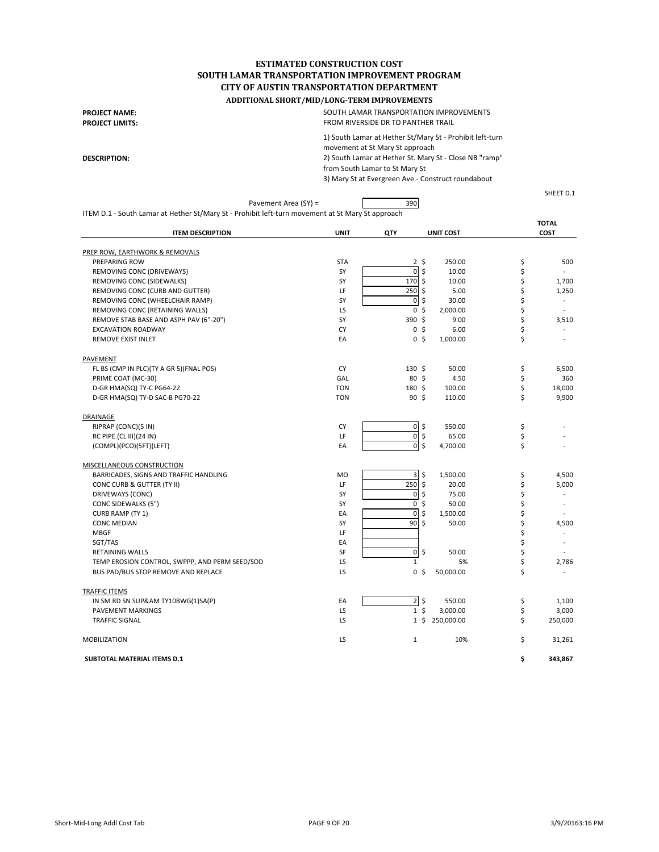**PROJECT NAME: PROJECT LIMITS:**

**DESCRIPTION:**

1) South Lamar at Hether St/Mary St - Prohibit left-turn SOUTH LAMAR TRANSPORTATION IMPROVEMENTS FROM RIVERSIDE DR TO PANTHER TRAIL

movement at St Mary St approach 2) South Lamar at Hether St. Mary St - Close NB "ramp" from South Lamar to St Mary St 3) Mary St at Evergreen Ave - Construct roundabout

SHEET D.1

| Pavement Area (SY) =                                                                             |             | 390                           |                  |                                |
|--------------------------------------------------------------------------------------------------|-------------|-------------------------------|------------------|--------------------------------|
| ITEM D.1 - South Lamar at Hether St/Mary St - Prohibit left-turn movement at St Mary St approach |             |                               |                  |                                |
|                                                                                                  |             |                               |                  | <b>TOTAL</b>                   |
| <b>ITEM DESCRIPTION</b>                                                                          | <b>UNIT</b> | QTY                           | <b>UNIT COST</b> | <b>COST</b>                    |
| PREP ROW, EARTHWORK & REMOVALS                                                                   |             |                               |                  |                                |
| PREPARING ROW                                                                                    | <b>STA</b>  | $2 \;$ \$                     | 250.00           | \$<br>500                      |
| REMOVING CONC (DRIVEWAYS)                                                                        | SY          | $\overline{0}$<br>\$          | 10.00            | \$<br>$\sim$                   |
| REMOVING CONC (SIDEWALKS)                                                                        | SY          | <b>170</b><br>Ŝ.              | 10.00            | \$<br>1,700                    |
| REMOVING CONC (CURB AND GUTTER)                                                                  | LF          | 250<br>\$                     | 5.00             | \$<br>1,250                    |
| REMOVING CONC (WHEELCHAIR RAMP)                                                                  | SY          | $\pmb{0}$<br>\$               | 30.00            | \$                             |
| REMOVING CONC (RETAINING WALLS)                                                                  | LS          | $\mathbf 0$<br>\$             | 2,000.00         | \$<br>$\sim$                   |
| REMOVE STAB BASE AND ASPH PAV (6"-20")                                                           | SY          | 390 \$                        | 9.00             | \$<br>3,510                    |
| <b>EXCAVATION ROADWAY</b>                                                                        | CY          | 0 <sup>5</sup>                | 6.00             | \$                             |
| <b>REMOVE EXIST INLET</b>                                                                        | EA          | 0 <sup>5</sup>                | 1,000.00         | \$<br>$\overline{a}$           |
| PAVEMENT                                                                                         |             |                               |                  |                                |
| FL BS (CMP IN PLC)(TY A GR 5)(FNAL POS)                                                          | CY          | $130 \;$ \$                   | 50.00            | \$<br>6,500                    |
| PRIME COAT (MC-30)                                                                               | GAL         | 80 \$                         | 4.50             | \$<br>360                      |
| D-GR HMA(SQ) TY-C PG64-22                                                                        | <b>TON</b>  | $180 \text{ }$                | 100.00           | \$<br>18,000                   |
| D-GR HMA(SQ) TY-D SAC-B PG70-22                                                                  | <b>TON</b>  | 90 <sup>5</sup>               | 110.00           | \$<br>9,900                    |
| DRAINAGE                                                                                         |             |                               |                  |                                |
| RIPRAP (CONC)(5 IN)                                                                              | CY          | $\overline{0}$ \$             | 550.00           | \$                             |
| RC PIPE (CL III)(24 IN)                                                                          | LF          | $\mathbf 0$<br>\$             | 65.00            | \$                             |
| (COMPL)(PCO)(5FT)(LEFT)                                                                          | EA          | 0 <sub>5</sub>                | 4,700.00         | \$                             |
| MISCELLANEOUS CONSTRUCTION                                                                       |             |                               |                  |                                |
| BARRICADES, SIGNS AND TRAFFIC HANDLING                                                           | <b>MO</b>   | $\overline{\mathbf{3}}$<br>\$ | 1,500.00         | \$<br>4,500                    |
| CONC CURB & GUTTER (TY II)                                                                       | LF          | 250<br>\$                     | 20.00            | \$<br>5,000                    |
| DRIVEWAYS (CONC)                                                                                 | SY          | $\pmb{0}$<br>\$               | 75.00            | \$                             |
| CONC SIDEWALKS (5")                                                                              | SY          | $\mathbf{0}$<br>\$            | 50.00            | \$<br>$\overline{\phantom{a}}$ |
| CURB RAMP (TY 1)                                                                                 | EA          | $\mathbf 0$<br>\$             | 1,500.00         | \$                             |
| <b>CONC MEDIAN</b>                                                                               | SY          | \$<br>90                      | 50.00            | \$<br>4,500                    |
| <b>MBGF</b>                                                                                      | LF          |                               |                  | \$<br>$\overline{\phantom{a}}$ |
| SGT/TAS                                                                                          | EA          |                               |                  | \$<br>٠                        |
| <b>RETAINING WALLS</b>                                                                           | SF          | $\mathbf 0$<br>\$             | 50.00            | \$<br>$\sim$                   |
| TEMP EROSION CONTROL, SWPPP, AND PERM SEED/SOD                                                   | LS          | $\mathbf{1}$                  | 5%               | \$<br>2,786                    |
| BUS PAD/BUS STOP REMOVE AND REPLACE                                                              | LS          | 0 <sup>5</sup>                | 50,000.00        | \$                             |
| <b>TRAFFIC ITEMS</b>                                                                             |             |                               |                  |                                |
| IN SM RD SN SUP&AM TY10BWG(1)SA(P)                                                               | EA          | $2 \,$ \$                     | 550.00           | \$<br>1,100                    |
| <b>PAVEMENT MARKINGS</b>                                                                         | LS          | 1 <sup>5</sup>                | 3,000.00         | \$<br>3,000                    |
| <b>TRAFFIC SIGNAL</b>                                                                            | LS          | 1 <sup>5</sup>                | 250,000.00       | \$<br>250,000                  |
| MOBILIZATION                                                                                     | LS          | 1                             | 10%              | \$<br>31,261                   |

**SUBTOTAL MATERIAL ITEMS D.1 \$ 343,867**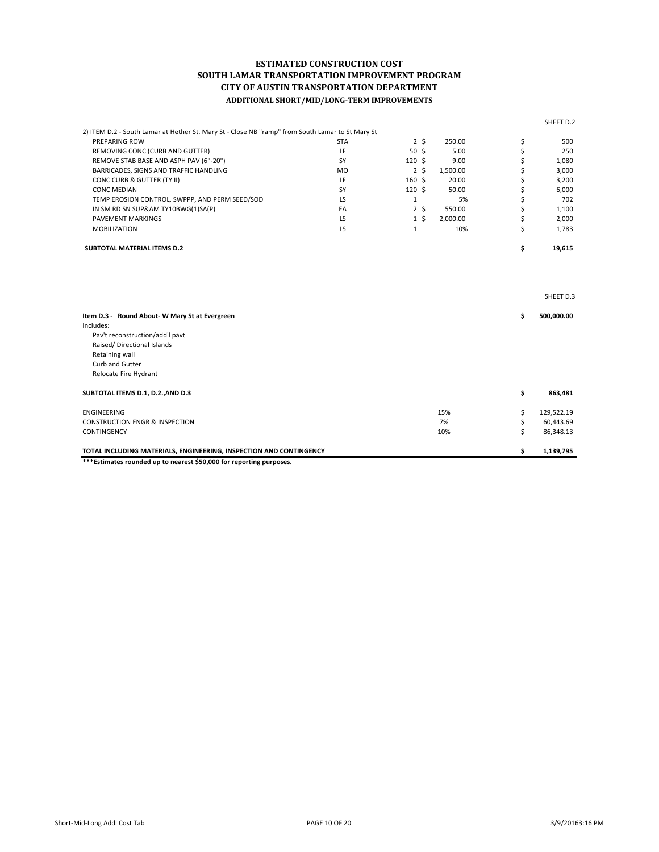|                                                                                                  |            |                  |                |          | SHEET D.2        |
|--------------------------------------------------------------------------------------------------|------------|------------------|----------------|----------|------------------|
| 2) ITEM D.2 - South Lamar at Hether St. Mary St - Close NB "ramp" from South Lamar to St Mary St |            |                  |                |          |                  |
| PREPARING ROW                                                                                    | <b>STA</b> |                  | 2 <sup>5</sup> | 250.00   | \$<br>500        |
| REMOVING CONC (CURB AND GUTTER)                                                                  | LF         | 50 <sub>5</sub>  |                | 5.00     | \$<br>250        |
| REMOVE STAB BASE AND ASPH PAV (6"-20")                                                           | SY         | $120 \;$ \$      |                | 9.00     | \$<br>1,080      |
| BARRICADES, SIGNS AND TRAFFIC HANDLING                                                           | <b>MO</b>  |                  | 2 <sup>5</sup> | 1,500.00 | \$<br>3,000      |
| CONC CURB & GUTTER (TY II)                                                                       | LF         | $160 \text{ }$   |                | 20.00    | \$<br>3,200      |
| <b>CONC MEDIAN</b>                                                                               | SY         | 120 <sup>5</sup> |                | 50.00    | \$<br>6,000      |
| TEMP EROSION CONTROL, SWPPP, AND PERM SEED/SOD                                                   | LS.        | $\mathbf{1}$     |                | 5%       | \$<br>702        |
| IN SM RD SN SUP&AM TY10BWG(1)SA(P)                                                               | EA         |                  | 2 <sup>5</sup> | 550.00   | \$<br>1,100      |
| <b>PAVEMENT MARKINGS</b>                                                                         | LS.        |                  | $1\,$ \$       | 2,000.00 | \$<br>2,000      |
| <b>MOBILIZATION</b>                                                                              | LS         | $\mathbf{1}$     |                | 10%      | \$<br>1,783      |
| <b>SUBTOTAL MATERIAL ITEMS D.2</b>                                                               |            |                  |                |          | \$<br>19,615     |
|                                                                                                  |            |                  |                |          | SHEET D.3        |
| Item D.3 - Round About-W Mary St at Evergreen                                                    |            |                  |                |          | \$<br>500,000.00 |
| Includes:                                                                                        |            |                  |                |          |                  |
| Pav't reconstruction/add'l pavt                                                                  |            |                  |                |          |                  |
| Raised/Directional Islands                                                                       |            |                  |                |          |                  |
| Retaining wall                                                                                   |            |                  |                |          |                  |
| Curb and Gutter                                                                                  |            |                  |                |          |                  |
| Relocate Fire Hydrant                                                                            |            |                  |                |          |                  |
| SUBTOTAL ITEMS D.1, D.2., AND D.3                                                                |            |                  |                |          | \$<br>863,481    |
| <b>ENGINEERING</b>                                                                               |            |                  |                | 15%      | \$<br>129,522.19 |
| <b>CONSTRUCTION ENGR &amp; INSPECTION</b>                                                        |            |                  |                | 7%       | \$<br>60,443.69  |
| CONTINGENCY                                                                                      |            |                  |                | 10%      | \$<br>86,348.13  |
| TOTAL INCLUDING MATERIALS, ENGINEERING, INSPECTION AND CONTINGENCY                               |            |                  |                |          | \$<br>1,139,795  |

**\*\*\*Estimates rounded up to nearest \$50,000 for reporting purposes.**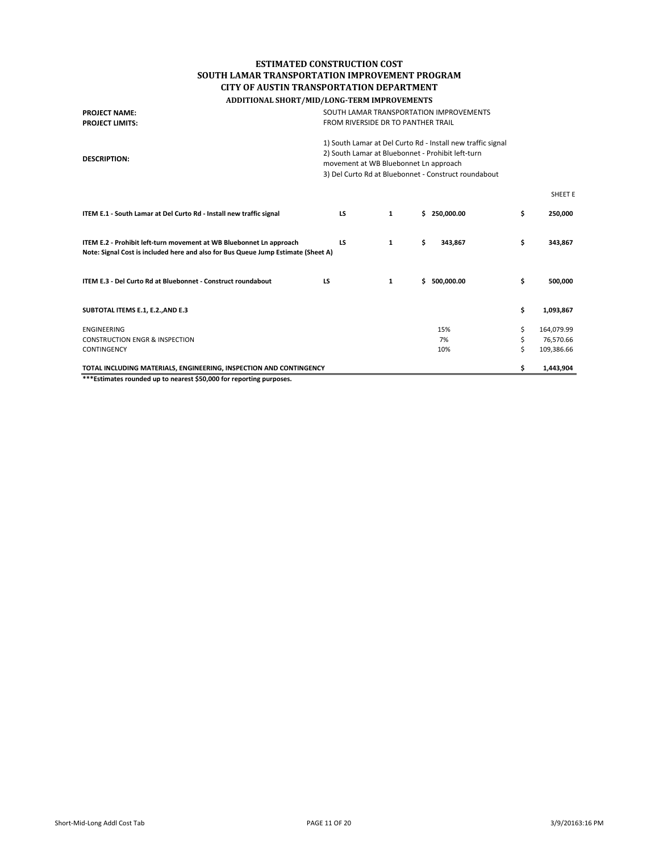| <b>PROJECT NAME:</b><br><b>PROJECT LIMITS:</b>                                                                                                           | SOUTH LAMAR TRANSPORTATION IMPROVEMENTS<br>FROM RIVERSIDE DR TO PANTHER TRAIL                                                                                                                                     |   |                  |    |                |
|----------------------------------------------------------------------------------------------------------------------------------------------------------|-------------------------------------------------------------------------------------------------------------------------------------------------------------------------------------------------------------------|---|------------------|----|----------------|
| <b>DESCRIPTION:</b>                                                                                                                                      | 1) South Lamar at Del Curto Rd - Install new traffic signal<br>2) South Lamar at Bluebonnet - Prohibit left-turn<br>movement at WB Bluebonnet Ln approach<br>3) Del Curto Rd at Bluebonnet - Construct roundabout |   |                  |    |                |
|                                                                                                                                                          |                                                                                                                                                                                                                   |   |                  |    | <b>SHEET E</b> |
| ITEM E.1 - South Lamar at Del Curto Rd - Install new traffic signal                                                                                      | <b>LS</b>                                                                                                                                                                                                         | 1 | \$250,000.00     | \$ | 250,000        |
| ITEM E.2 - Prohibit left-turn movement at WB Bluebonnet Ln approach<br>Note: Signal Cost is included here and also for Bus Queue Jump Estimate (Sheet A) | <b>LS</b>                                                                                                                                                                                                         | 1 | \$<br>343,867    | \$ | 343,867        |
| ITEM E.3 - Del Curto Rd at Bluebonnet - Construct roundabout                                                                                             | <b>LS</b>                                                                                                                                                                                                         | 1 | \$<br>500,000.00 | \$ | 500,000        |
| SUBTOTAL ITEMS E.1, E.2., AND E.3                                                                                                                        |                                                                                                                                                                                                                   |   |                  | \$ | 1,093,867      |
| <b>ENGINEERING</b>                                                                                                                                       |                                                                                                                                                                                                                   |   | 15%              | \$ | 164,079.99     |
| <b>CONSTRUCTION ENGR &amp; INSPECTION</b>                                                                                                                |                                                                                                                                                                                                                   |   | 7%               | \$ | 76,570.66      |
| CONTINGENCY                                                                                                                                              |                                                                                                                                                                                                                   |   | 10%              | Ś  | 109,386.66     |
| TOTAL INCLUDING MATERIALS, ENGINEERING, INSPECTION AND CONTINGENCY                                                                                       |                                                                                                                                                                                                                   |   |                  | \$ | 1,443,904      |

**\*\*\*Estimates rounded up to nearest \$50,000 for reporting purposes.**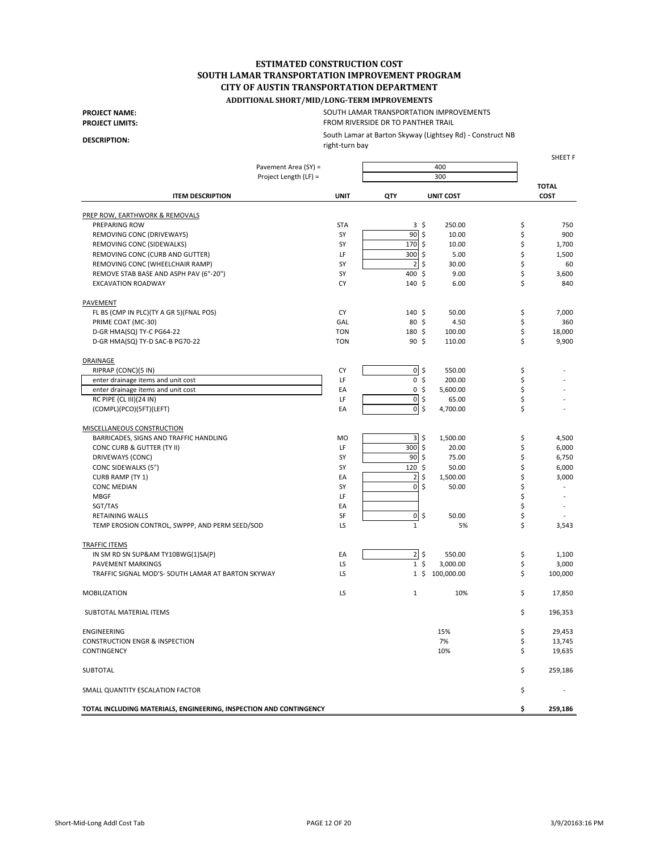# **ADDITIONAL SHORT/MID/LONG-TERM IMPROVEMENTS**

**PROJECT NAME: PROJECT LIMITS:** FROM RIVERSIDE DR TO PANTHER TRAIL SOUTH LAMAR TRANSPORTATION IMPROVEMENTS

**DESCRIPTION:**

South Lamar at Barton Skyway (Lightsey Rd) - Construct NB

right-turn bay

SHEET F

|                                                                    | Pavement Area (SY) =  |                                 | 400              |                      |
|--------------------------------------------------------------------|-----------------------|---------------------------------|------------------|----------------------|
|                                                                    | Project Length (LF) = |                                 | 300              |                      |
| <b>ITEM DESCRIPTION</b>                                            | <b>UNIT</b>           | QTY                             | <b>UNIT COST</b> | <b>TOTAL</b><br>COST |
| PREP ROW, EARTHWORK & REMOVALS                                     |                       |                                 |                  |                      |
| PREPARING ROW                                                      | <b>STA</b>            | $3\sqrt{5}$                     | 250.00           | \$<br>750            |
| REMOVING CONC (DRIVEWAYS)                                          | SY                    | 90<br>$\boldsymbol{\mathsf{S}}$ | 10.00            | \$<br>900            |
| REMOVING CONC (SIDEWALKS)                                          | SY                    | 170<br>\$                       | 10.00            | \$<br>1,700          |
| REMOVING CONC (CURB AND GUTTER)                                    | LF                    | 300<br>\$                       | 5.00             | \$<br>1,500          |
| REMOVING CONC (WHEELCHAIR RAMP)                                    | SY                    | $\overline{\mathbf{c}}$<br>\$   | 30.00            | \$<br>60             |
| REMOVE STAB BASE AND ASPH PAV (6"-20")                             | SY                    | 400 \$                          | 9.00             | \$<br>3,600          |
| <b>EXCAVATION ROADWAY</b>                                          | CY                    | 140 \$                          | 6.00             | \$<br>840            |
| PAVEMENT                                                           |                       |                                 |                  |                      |
| FL BS (CMP IN PLC)(TY A GR 5)(FNAL POS)                            | CY                    | $140 \;$ \$                     | 50.00            | \$<br>7,000          |
| PRIME COAT (MC-30)                                                 | GAL                   | 80 \$                           | 4.50             | \$<br>360            |
| D-GR HMA(SQ) TY-C PG64-22                                          | <b>TON</b>            | 180 \$                          | 100.00           | \$<br>18,000         |
| D-GR HMA(SQ) TY-D SAC-B PG70-22                                    | <b>TON</b>            | 90 <sup>5</sup>                 | 110.00           | \$<br>9,900          |
| DRAINAGE                                                           |                       |                                 |                  |                      |
| RIPRAP (CONC)(5 IN)                                                | CY                    | $0\sqrt{2}$                     | 550.00           | \$                   |
| enter drainage items and unit cost                                 | LF                    | 0 <sup>5</sup>                  | 200.00           | \$                   |
| enter drainage items and unit cost                                 | EA                    | 0 <sup>5</sup>                  | 5,600.00         | \$                   |
| RC PIPE (CL III)(24 IN)                                            | LF                    | $0\sqrt{5}$                     | 65.00            | \$                   |
| (COMPL)(PCO)(5FT)(LEFT)                                            | EA                    | $0\sqrt{5}$                     | 4,700.00         | \$                   |
| <b>MISCELLANEOUS CONSTRUCTION</b>                                  |                       |                                 |                  |                      |
| BARRICADES, SIGNS AND TRAFFIC HANDLING                             | MO                    | $\overline{\mathbf{3}}$<br>\$   | 1,500.00         | \$<br>4,500          |
| CONC CURB & GUTTER (TY II)                                         | LF                    | 300<br>\$                       | 20.00            | \$<br>6,000          |
| DRIVEWAYS (CONC)                                                   | SY                    | 90<br>\$                        | 75.00            | \$<br>6,750          |
| CONC SIDEWALKS (5")                                                | SY                    | 120<br>\$                       | 50.00            | \$<br>6,000          |
| CURB RAMP (TY 1)                                                   | EA                    | \$<br>$\overline{2}$            | 1,500.00         | \$<br>3,000          |
| <b>CONC MEDIAN</b>                                                 | SY                    | $\mathbf 0$<br>\$               | 50.00            | \$                   |
| <b>MBGF</b>                                                        | LF                    |                                 |                  | \$                   |
| SGT/TAS                                                            | EA                    |                                 |                  | \$                   |
| <b>RETAINING WALLS</b>                                             | SF                    | $0\sqrt{5}$                     | 50.00            | \$                   |
| TEMP EROSION CONTROL, SWPPP, AND PERM SEED/SOD                     | LS                    | $\mathbf{1}$                    | 5%               | \$<br>3,543          |
| <b>TRAFFIC ITEMS</b>                                               |                       |                                 |                  |                      |
| IN SM RD SN SUP&AM TY10BWG(1)SA(P)                                 | EA                    | $2\overline{5}$                 | 550.00           | \$<br>1,100          |
| PAVEMENT MARKINGS                                                  | LS                    | 1 <sup>5</sup>                  | 3,000.00         | \$<br>3,000          |
| TRAFFIC SIGNAL MOD'S- SOUTH LAMAR AT BARTON SKYWAY                 | LS                    | $1\,$ \$                        | 100,000.00       | \$<br>100,000        |
| <b>MOBILIZATION</b>                                                | LS                    | $\mathbf 1$                     | 10%              | \$<br>17,850         |
| SUBTOTAL MATERIAL ITEMS                                            |                       |                                 |                  | \$<br>196,353        |
| ENGINEERING                                                        |                       |                                 | 15%              | \$<br>29,453         |
| <b>CONSTRUCTION ENGR &amp; INSPECTION</b>                          |                       |                                 | 7%               | \$<br>13,745         |
| CONTINGENCY                                                        |                       |                                 | 10%              | \$<br>19,635         |
| <b>SUBTOTAL</b>                                                    |                       |                                 |                  | \$<br>259,186        |
| SMALL QUANTITY ESCALATION FACTOR                                   |                       |                                 |                  | \$                   |
| TOTAL INCLUDING MATERIALS, ENGINEERING, INSPECTION AND CONTINGENCY |                       |                                 |                  | \$<br>259,186        |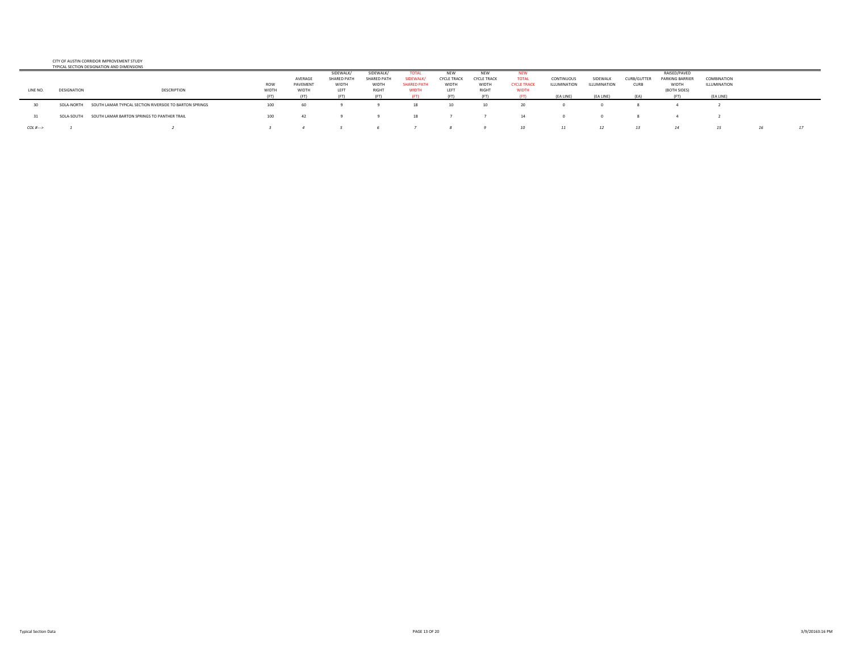#### CITY OF AUSTIN CORRIDOR IMPROVEMENT STUDY**PICAL SECTION DESIGNATION AND**

|                     |             | <b>I TRICAL SECTION DESIGNATION AND DIMENSIONS</b>      |            |          |                    |             |                    |                    |                    |                    |              |              |                    |                        |              |    |
|---------------------|-------------|---------------------------------------------------------|------------|----------|--------------------|-------------|--------------------|--------------------|--------------------|--------------------|--------------|--------------|--------------------|------------------------|--------------|----|
|                     |             |                                                         |            |          | SIDEWALK/          | SIDEWALK/   |                    |                    | <b>NEW</b>         |                    |              |              |                    | RAISED/PAVED           |              |    |
|                     |             |                                                         |            | AVERAGE  | <b>SHARED PATH</b> | SHARED PATH | SIDEWALK/          | <b>CYCLE TRACK</b> | <b>CYCLE TRACK</b> | <b>TOTAL</b>       | CONTINUOUS   | SIDEWALK     | <b>CURB/GUTTER</b> | <b>PARKING BARRIER</b> | COMBINATION  |    |
|                     |             |                                                         | <b>ROW</b> | PAVEMENT | WIDTH              | WIDTH       | <b>SHARED PATH</b> | WIDTH              | WIDTH              | <b>CYCLE TRACK</b> | ILLUMINATION | ILLUMINATION | <b>CURB</b>        | WIDTH                  | ILLUMINATION |    |
| LINE NO.            | DESIGNATION | DESCRIPTION                                             | WIDTH      | WIDTH    | LEFT               | RIGHT       | <b>WIDTH</b>       | LEFT               | <b>RIGHT</b>       | WIDTH              |              |              |                    | (BOTH SIDES)           |              |    |
|                     |             |                                                         |            |          |                    |             |                    |                    |                    |                    | (EA LINE)    | (EA LINE)    |                    |                        | (EA LINE)    |    |
| 30                  | SOLA-NORTH  | SOUTH LAMAR TYPICAL SECTION RIVERSIDE TO BARTON SPRINGS | 100        | 60       |                    |             |                    | 10                 | 10                 |                    |              |              |                    |                        |              |    |
|                     | SOLA-SOUTH  | SOUTH LAMAR BARTON SPRINGS TO PANTHER TRAIL             | 100        |          |                    |             |                    |                    |                    |                    |              |              |                    |                        |              |    |
| $COL H \rightarrow$ |             |                                                         |            |          |                    |             |                    |                    |                    | 10                 |              | 12           |                    |                        |              | 17 |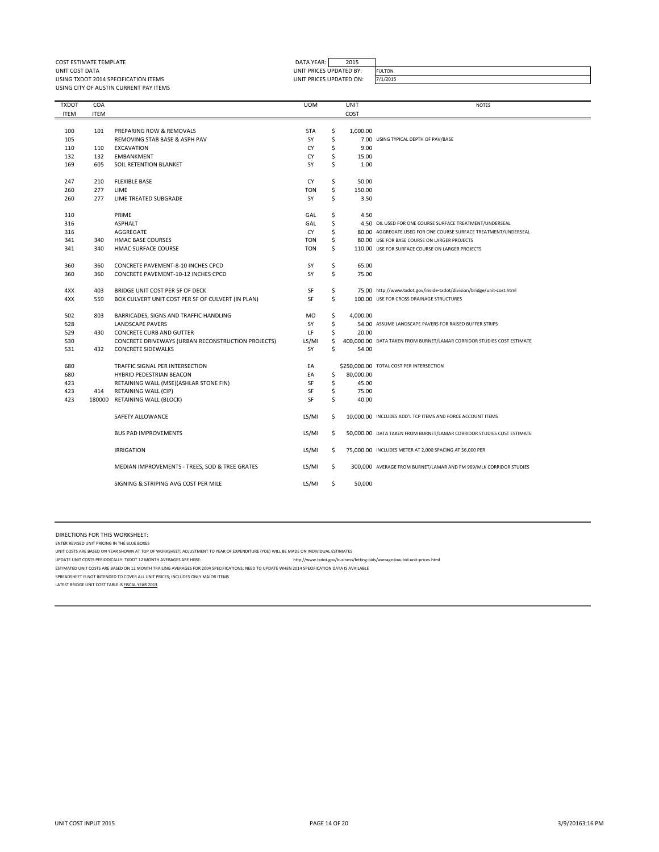| COST ESTIMATE TEMPLATE                 | DATA YEAR: I            | 2015 |               |
|----------------------------------------|-------------------------|------|---------------|
| UNIT COST DATA                         | UNIT PRICES UPDATED BY: |      | <b>FULTON</b> |
| USING TXDOT 2014 SPECIFICATION ITEMS   | UNIT PRICES UPDATED ON: |      | 7/1/2015      |
| USING CITY OF AUSTIN CURRENT PAY ITEMS |                         |      |               |
|                                        |                         |      |               |

| <b>TXDOT</b> | COA         |                                                    | <b>UOM</b> |    | <b>UNIT</b> | <b>NOTES</b>                                                           |
|--------------|-------------|----------------------------------------------------|------------|----|-------------|------------------------------------------------------------------------|
| <b>ITEM</b>  | <b>ITEM</b> |                                                    |            |    | COST        |                                                                        |
|              |             |                                                    |            |    |             |                                                                        |
| 100          | 101         | PREPARING ROW & REMOVALS                           | <b>STA</b> | \$ | 1,000.00    |                                                                        |
| 105          |             | REMOVING STAB BASE & ASPH PAV                      | SY         | \$ |             | 7.00 USING TYPICAL DEPTH OF PAV/BASE                                   |
| 110          | 110         | <b>EXCAVATION</b>                                  | CY         | \$ | 9.00        |                                                                        |
| 132          | 132         | <b>EMBANKMENT</b>                                  | CY         | \$ | 15.00       |                                                                        |
| 169          | 605         | SOIL RETENTION BLANKET                             | SY         | \$ | 1.00        |                                                                        |
|              |             |                                                    |            |    |             |                                                                        |
| 247          | 210         | <b>FLEXIBLE BASE</b>                               | CY         | \$ | 50.00       |                                                                        |
| 260          | 277         | LIME                                               | TON        | \$ | 150.00      |                                                                        |
| 260          | 277         | LIME TREATED SUBGRADE                              | SY         | \$ | 3.50        |                                                                        |
|              |             |                                                    |            |    |             |                                                                        |
| 310          |             | PRIME                                              | GAL        | \$ | 4.50        |                                                                        |
| 316          |             | <b>ASPHALT</b>                                     | GAL        | \$ |             | 4.50 OIL USED FOR ONE COURSE SURFACE TREATMENT/UNDERSEAL               |
| 316          |             | AGGREGATE                                          | CY         | \$ |             | 80.00 AGGREGATE USED FOR ONE COURSE SURFACE TREATMENT/UNDERSEAL        |
| 341          | 340         | <b>HMAC BASE COURSES</b>                           | <b>TON</b> | \$ |             | 80.00 USE FOR BASE COURSE ON LARGER PROJECTS                           |
| 341          | 340         | HMAC SURFACE COURSE                                | TON        | Ś  |             | 110.00 USE FOR SURFACE COURSE ON LARGER PROJECTS                       |
|              |             |                                                    |            |    |             |                                                                        |
| 360          | 360         | <b>CONCRETE PAVEMENT-8-10 INCHES CPCD</b>          | SY         | \$ | 65.00       |                                                                        |
| 360          | 360         | <b>CONCRETE PAVEMENT-10-12 INCHES CPCD</b>         | SY         | \$ | 75.00       |                                                                        |
|              |             |                                                    |            |    |             |                                                                        |
| 4XX          | 403         | BRIDGE UNIT COST PER SF OF DECK                    | SF         | \$ |             | 75.00 http://www.txdot.gov/inside-txdot/division/bridge/unit-cost.html |
| 4XX          | 559         | BOX CULVERT UNIT COST PER SF OF CULVERT (IN PLAN)  | SF         | \$ |             | 100.00 USE FOR CROSS DRAINAGE STRUCTURES                               |
|              |             |                                                    |            |    |             |                                                                        |
| 502          | 803         | BARRICADES, SIGNS AND TRAFFIC HANDLING             | MO         | \$ | 4,000.00    |                                                                        |
| 528          |             | LANDSCAPE PAVERS                                   | SY         | \$ |             | 54.00 ASSUME LANDSCAPE PAVERS FOR RAISED BUFFER STRIPS                 |
| 529          | 430         | CONCRETE CURB AND GUTTER                           | LF         | \$ | 20.00       |                                                                        |
| 530          |             | CONCRETE DRIVEWAYS (URBAN RECONSTRUCTION PROJECTS) | LS/MI      | \$ |             | 400,000.00 DATA TAKEN FROM BURNET/LAMAR CORRIDOR STUDIES COST ESTIMATE |
| 531          | 432         | <b>CONCRETE SIDEWALKS</b>                          | SY         | \$ | 54.00       |                                                                        |
|              |             |                                                    |            |    |             |                                                                        |
| 680          |             | TRAFFIC SIGNAL PER INTERSECTION                    | EA         |    |             | \$250,000.00 TOTAL COST PER INTERSECTION                               |
| 680          |             | HYBRID PEDESTRIAN BEACON                           | EA         | \$ | 80,000.00   |                                                                        |
| 423          |             | RETAINING WALL (MSE)(ASHLAR STONE FIN)             | SF         | \$ | 45.00       |                                                                        |
| 423          | 414         | RETAINING WALL (CIP)                               | SF         | \$ | 75.00       |                                                                        |
| 423          | 180000      | <b>RETAINING WALL (BLOCK)</b>                      | SF         | \$ | 40.00       |                                                                        |
|              |             |                                                    |            |    |             |                                                                        |
|              |             | SAFETY ALLOWANCE                                   | LS/MI      | \$ |             | 10,000.00 INCLUDES ADD'L TCP ITEMS AND FORCE ACCOUNT ITEMS             |
|              |             |                                                    |            |    |             |                                                                        |
|              |             | <b>BUS PAD IMPROVEMENTS</b>                        | LS/MI      | \$ |             | 50,000.00 DATA TAKEN FROM BURNET/LAMAR CORRIDOR STUDIES COST ESTIMATE  |
|              |             |                                                    |            |    |             |                                                                        |
|              |             | <b>IRRIGATION</b>                                  | LS/MI      | \$ |             | 75,000.00 INCLUDES METER AT 2,000 SPACING AT \$6,000 PER               |
|              |             |                                                    |            |    |             |                                                                        |
|              |             | MEDIAN IMPROVEMENTS - TREES, SOD & TREE GRATES     | LS/MI      | \$ |             | 300,000 AVERAGE FROM BURNET/LAMAR AND FM 969/MLK CORRIDOR STUDIES      |
|              |             |                                                    |            |    |             |                                                                        |
|              |             | SIGNING & STRIPING AVG COST PER MILE               | LS/MI      | \$ | 50,000      |                                                                        |
|              |             |                                                    |            |    |             |                                                                        |

DIRECTIONS FOR THIS WORKSHEET:

ENTER REVISED UNIT PRICING IN THE BLUE BOXES

UNIT COSTS ARE BASED ON YEAR SHOWN AT TOP OF WORKSHEET; ADJUSTMENT TO YEAR OF EXPENDITURE (YOE) WILL BE MADE ON INDIVIDUAL ESTIMATES

UPDATE UNIT COSTS PERIODICALLY: TXDOT 12 MONTH AVERAGES ARE HERE: http://www.txdot.gov/business/letting-bids/average-low-bid-unit-prices.html

ESTIMATED UNIT COSTS ARE BASED ON 12 MONTH TRAILING AVERAGES FOR 2004 SPECIFICATIONS; NEED TO UPDATE WHEN 2014 SPECIFICATION DATA IS AVAILABLE

SPREADSHEET IS NOT INTENDED TO COVER ALL UNIT PRICES; INCLUDES ONLY MAJOR ITEMS

LATEST BRIDGE UNIT COST TABLE IS FISCAL YEAR 2013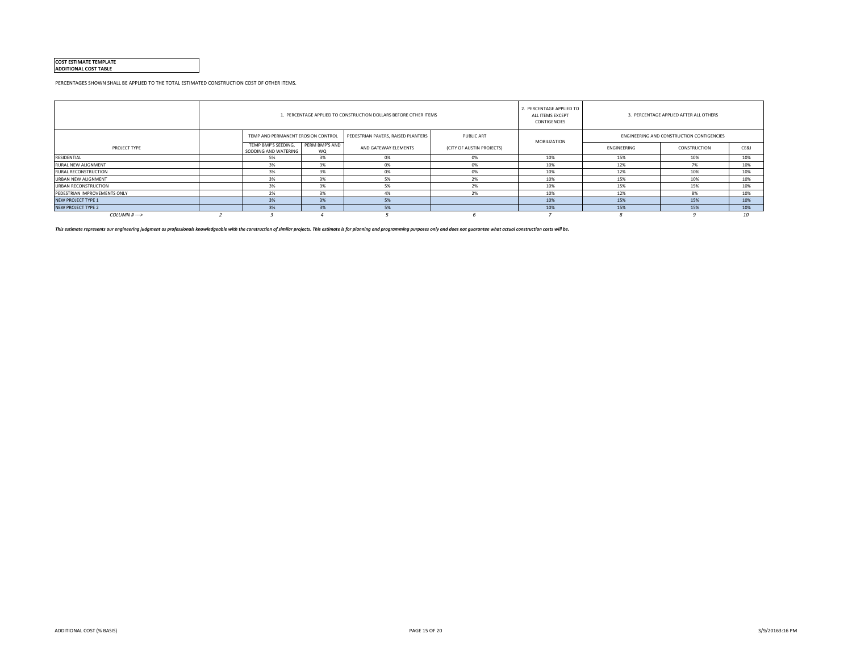#### **COST ESTIMATE TEMPLATE ADDITIONAL COST TABLE**

PERCENTAGES SHOWN SHALL BE APPLIED TO THE TOTAL ESTIMATED CONSTRUCTION COST OF OTHER ITEMS.

|                              |                                             |                             | 1. PERCENTAGE APPLIED TO CONSTRUCTION DOLLARS BEFORE OTHER ITEMS |                           | 2. PERCENTAGE APPLIED TO<br>ALL ITEMS EXCEPT<br>CONTIGENCIES |             | 3. PERCENTAGE APPLIED AFTER ALL OTHERS    |      |
|------------------------------|---------------------------------------------|-----------------------------|------------------------------------------------------------------|---------------------------|--------------------------------------------------------------|-------------|-------------------------------------------|------|
|                              | TEMP AND PERMANENT EROSION CONTROL          |                             | PEDESTRIAN PAVERS, RAISED PLANTERS                               | <b>PUBLIC ART</b>         | <b>MOBILIZATION</b>                                          |             | ENGINEERING AND CONSTRUCTION CONTIGENCIES |      |
| PROJECT TYPE                 | TEMP BMP'S SEEDING,<br>SODDING AND WATERING | PERM BMP'S AND<br><b>WQ</b> | AND GATEWAY ELEMENTS                                             | (CITY OF AUSTIN PROJECTS) |                                                              | ENGINEERING | CONSTRUCTION                              | CE&I |
| RESIDENTIAL                  | 5%                                          | 3%                          | 0%                                                               | 0%                        | 10%                                                          | 15%         | 10%                                       | 10%  |
| RURAL NEW ALIGNMENT          | 3%                                          | 3%                          | 0%                                                               | 0%                        | 10%                                                          | 12%         | 7%                                        | 10%  |
| RURAL RECONSTRUCTION         | 3%                                          | 3%                          |                                                                  | 0%                        | 10%                                                          | 12%         | 10%                                       | 10%  |
| URBAN NEW ALIGNMENT          | 3%                                          | 3%                          |                                                                  | 2%                        | 10%                                                          | 15%         | 10%                                       | 10%  |
| URBAN RECONSTRUCTION         | 3%                                          | 3%                          | 5%                                                               | 2%                        | 10%                                                          | 15%         | 15%                                       | 10%  |
| PEDESTRIAN IMPROVEMENTS ONLY | 2%                                          | 3%                          |                                                                  | 2%                        | 10%                                                          | 12%         | 8%                                        | 10%  |
| <b>NEW PROJECT TYPE 1</b>    | 3%                                          | 3%                          | 5%                                                               |                           | 10%                                                          | 15%         | 15%                                       | 10%  |
| <b>NEW PROJECT TYPE 2</b>    | 3%                                          | 3%                          | 5%                                                               |                           | 10%                                                          | 15%         | 15%                                       | 10%  |
| $COLUTIONH$ --->             |                                             |                             |                                                                  |                           |                                                              |             |                                           | 10   |

This estimate represents our engineering judgment as professionals knowledgeable with the construction of similar projects. This estimate is for planning and programming purposes only and does not guarantee what actual con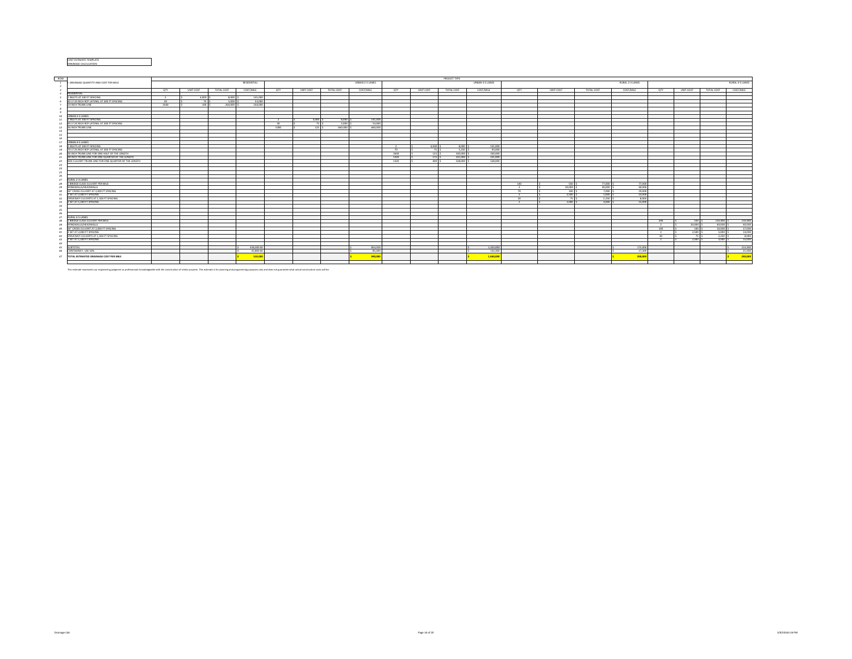#### COST ESTIMATE TEMPLATE DRAINAGE CALCULATION

| ROW   |                                                      |                | PROJECT TYPE |        |            |             |                |           |            |                 |               |                |            |                        |               |           |            |                 |                |           |            |                 |
|-------|------------------------------------------------------|----------------|--------------|--------|------------|-------------|----------------|-----------|------------|-----------------|---------------|----------------|------------|------------------------|---------------|-----------|------------|-----------------|----------------|-----------|------------|-----------------|
|       | . DRAINAGE QUANTITY AND COST PER MILE                |                |              |        |            | RESIDENTIAL |                |           |            | URBAN 2-3 LANES |               |                |            | <b>URBAN 4-5 LANES</b> |               |           |            | RURAL 2-3 LANES |                |           |            | RURAL 4-5 LANES |
|       |                                                      |                |              |        |            |             |                |           |            |                 |               |                |            |                        |               |           |            |                 |                |           |            |                 |
|       |                                                      | OTY            | UNIT COST    |        | TOTAL COST | COST/MILE   | OTY            | UNIT COST | TOTAL COST | COST/MILE       | <b>QTY</b>    | UNIT COST      | TOTAL COST | COST/MILE              | OTY           | UNIT COST | TOTAL COST | COST/MILE       | OTY            | UNIT COST | TOTAL COST | COST/MILE       |
|       | RESIDENTIAL                                          |                |              |        |            |             |                |           |            |                 |               |                |            |                        |               |           |            |                 |                |           |            |                 |
|       | 2 INLETS AT 300 FT SPACING                           | $\overline{2}$ |              | 4.000  | 8.000      | 141,000     |                |           |            |                 |               |                |            |                        |               |           |            |                 |                |           |            |                 |
|       | 40 LF 24 INCH RCP LATERAL AT 300 FT SPACING          | -40            |              | 75 S   | 3.000      | 53,000      |                |           |            |                 |               |                |            |                        |               |           |            |                 |                |           |            |                 |
|       | 24 INCH TRUNK UNF                                    | 2640           |              | tan 15 | 264,000    | 264,000     |                |           |            |                 |               |                |            |                        |               |           |            |                 |                |           |            |                 |
|       |                                                      |                |              |        |            |             |                |           |            |                 |               |                |            |                        |               |           |            |                 |                |           |            |                 |
|       |                                                      |                |              |        |            |             |                |           |            |                 |               |                |            |                        |               |           |            |                 |                |           |            |                 |
|       |                                                      |                |              |        |            |             |                |           |            |                 |               |                |            |                        |               |           |            |                 |                |           |            |                 |
|       | URBAN 2-3 LANES                                      |                |              |        |            |             |                |           |            |                 |               |                |            |                        |               |           |            |                 |                |           |            |                 |
|       | 2 INLETS AT 300 FT SPACING                           |                |              |        |            |             | $\overline{2}$ | 4.000 S   | 8,000 S    | 141,000         |               |                |            |                        |               |           |            |                 |                |           |            |                 |
|       | 40 LF 24 INCH RCP LATERAL AT 300 FT SPACING          |                |              |        |            |             | -40            | 75 \$     | 3.000 S    | 53,000          |               |                |            |                        |               |           |            |                 |                |           |            |                 |
|       | 36 INCH TRUNK UNE                                    |                |              |        |            |             | 5280           | 125 S     | 660,000 S  | 660,000         |               |                |            |                        |               |           |            |                 |                |           |            |                 |
| 14    |                                                      |                |              |        |            |             |                |           |            |                 |               |                |            |                        |               |           |            |                 |                |           |            |                 |
| 15    |                                                      |                |              |        |            |             |                |           |            |                 |               |                |            |                        |               |           |            |                 |                |           |            |                 |
| 16    |                                                      |                |              |        |            |             |                |           |            |                 |               |                |            |                        |               |           |            |                 |                |           |            |                 |
|       | URBAN 4-5 LANES                                      |                |              |        |            |             |                |           |            |                 |               |                |            |                        |               |           |            |                 |                |           |            |                 |
|       | INLETS AT 300 FT SPACING                             |                |              |        |            |             |                |           |            |                 | $\rightarrow$ | 4.000          | 8,000 \$   | 141,000                |               |           |            |                 |                |           |            |                 |
|       | 70 LF 24 INCH RCP LATERAL AT 300 FT SPACING          |                |              |        |            |             |                |           |            |                 | 70            | 75             | 5.250 \$   | 93,000                 |               |           |            |                 |                |           |            |                 |
|       | 36 INCH TRUNK LINE FOR ONE-HALF OF THE LENGTH        |                |              |        |            |             |                |           |            |                 | 2640          | <sup>125</sup> | 330,000    | 330,000                |               |           |            |                 |                |           |            |                 |
|       | 48 INCH TRUNK LINE FOR ONE-QUARTER OF THE LENGTH     |                |              |        |            |             |                |           |            |                 | 1320          | <b>175</b>     | 231,000    | 231,000                |               |           |            |                 |                |           |            |                 |
|       | BOX CULVERT TRUNK LINE FOR ONE-QUARTER OF THE LENGTH |                |              |        |            |             |                |           |            |                 | 1320          | 400            | 528,000    | 528,000                |               |           |            |                 |                |           |            |                 |
| 23    |                                                      |                |              |        |            |             |                |           |            |                 |               |                |            |                        |               |           |            |                 |                |           |            |                 |
| 24    |                                                      |                |              |        |            |             |                |           |            |                 |               |                |            |                        |               |           |            |                 |                |           |            |                 |
| 25    |                                                      |                |              |        |            |             |                |           |            |                 |               |                |            |                        |               |           |            |                 |                |           |            |                 |
|       |                                                      |                |              |        |            |             |                |           |            |                 |               |                |            |                        |               |           |            |                 |                |           |            |                 |
|       | RURAL 2-3 LANES                                      |                |              |        |            |             |                |           |            |                 |               |                |            |                        |               |           |            |                 |                |           |            |                 |
|       |                                                      |                |              |        |            |             |                |           |            |                 |               |                |            |                        |               | 550<      |            | 22.000          |                |           |            |                 |
|       | BRIDGE CLASS CULVERT PER MILE                        |                |              |        |            |             |                |           |            |                 |               |                |            |                        | 140           |           | 77,000     |                 |                |           |            |                 |
|       | WINGWALLS/HEADWALLS                                  |                |              |        |            |             |                |           |            |                 |               |                |            |                        | $\rightarrow$ | 20,000 \$ | 40,000     | 40,000          |                |           |            |                 |
|       | 36" CROSS CULVERT AT 2,000 FT SPACING                |                |              |        |            |             |                |           |            |                 |               |                |            |                        |               | 100       | 7,000 \$   | 19.000          |                |           |            |                 |
|       | 2 SET AT 2,000 FT SPACING                            |                |              |        |            |             |                |           |            |                 |               |                |            |                        |               | 2.500 \$  | 5.000      | 14,000          |                |           |            |                 |
|       | DRIVEWAY CULVERTS AT 1,500 FT SPACING                |                |              |        |            |             |                |           |            |                 |               |                |            |                        |               | 75<       | 2.250 S    | sonal           |                |           |            |                 |
|       | 2 SET AT 1.500 FT SPACING                            |                |              |        |            |             |                |           |            |                 |               |                |            |                        |               | 2,000 \$  | 4,000      | 15,000          |                |           |            |                 |
| 2.8   |                                                      |                |              |        |            |             |                |           |            |                 |               |                |            |                        |               |           |            |                 |                |           |            |                 |
| 25    |                                                      |                |              |        |            |             |                |           |            |                 |               |                |            |                        |               |           |            |                 |                |           |            |                 |
|       |                                                      |                |              |        |            |             |                |           |            |                 |               |                |            |                        |               |           |            |                 |                |           |            |                 |
|       | <b>RURAL 4-5 LANES</b>                               |                |              |        |            |             |                |           |            |                 |               |                |            |                        |               |           |            |                 |                |           |            |                 |
|       | BRIDGE CLASS CULVERT PER MILE                        |                |              |        |            |             |                |           |            |                 |               |                |            |                        |               |           |            |                 | 200            | 550 \$    | 110,000    | 110,000         |
|       | WINGWALLS/HEADWALLS                                  |                |              |        |            |             |                |           |            |                 |               |                |            |                        |               |           |            |                 |                | 20,000 \$ | 40,000 S   | 40,000          |
|       | 36" CROSS CULVERT AT 2,000 FT SPACING                |                |              |        |            |             |                |           |            |                 |               |                |            |                        |               |           |            |                 | 100            | 100S      | 10,000 :   | 27,000          |
| 41    | 2 SET AT 2,000 FT SPACING                            |                |              |        |            |             |                |           |            |                 |               |                |            |                        |               |           |            |                 | $\rightarrow$  | 2,500 \$  | 5.000 S    | 14,000          |
| 42    | DRIVEWAY CULVERTS AT 1,500 FT SPACING                |                |              |        |            |             |                |           |            |                 |               |                |            |                        |               |           |            |                 | 20             | 75<       | $2250 - 5$ | 8.000           |
| $-43$ | 2 SET AT 1.500 FT SPACING                            |                |              |        |            |             |                |           |            |                 |               |                |            |                        |               |           |            |                 | $\overline{2}$ | 2,000     | 4.000 S    | 15,000          |
| 44    |                                                      |                |              |        |            |             |                |           |            |                 |               |                |            |                        |               |           |            |                 |                |           |            |                 |
| 45    | SUBTOTAL                                             |                |              |        |            | 458,000.0   |                |           |            | 854,000         |               |                |            | 1,323,000              |               |           |            | 173,000         |                |           |            | 214,000         |
| 46    | CONTIGENCY: USE 10%                                  |                |              |        |            | 45,800.00   |                |           |            | 85,400          |               |                |            | 132 300                |               |           |            | 17,300          |                |           |            | 21,400          |
|       |                                                      |                |              |        |            |             |                |           |            |                 |               |                |            |                        |               |           |            |                 |                |           |            |                 |
|       | 47 TOTAL ESTIMATED DRAINAGE COST PER MILE            |                |              |        |            | 510,00      |                |           |            | 940,000         |               |                |            | 1,460,000              |               |           |            | 200,000         |                |           |            | 240,000         |
|       |                                                      |                |              |        |            |             |                |           |            |                 |               |                |            |                        |               |           |            |                 |                |           |            |                 |

This estimate represents our engineering judgment as professionals knowledgeable with the construction of similar projects. This estimate is for planning and programming purposes only and does not guarantee what actual con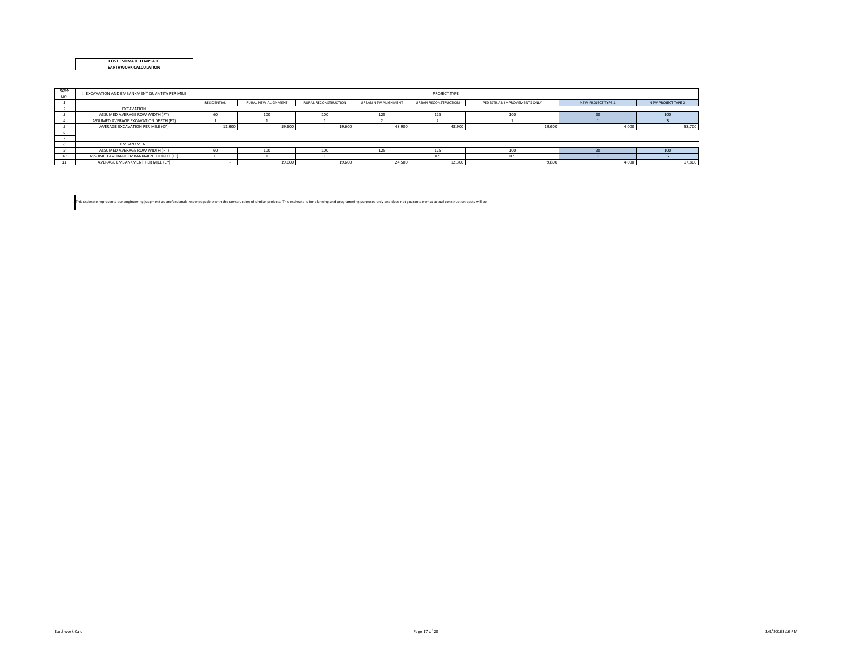|  | <b>COST ESTIMATE TEMPLATE</b> |  |
|--|-------------------------------|--|
|  | <b>FARTHWORK CALCULATION</b>  |  |

| ROW<br>NO. | I. EXCAVATION AND EMBANKMENT QUANTITY PER MILE |             | PROJECT TYPE               |                             |                     |                      |                              |                    |                    |  |  |  |  |  |
|------------|------------------------------------------------|-------------|----------------------------|-----------------------------|---------------------|----------------------|------------------------------|--------------------|--------------------|--|--|--|--|--|
|            |                                                | RESIDENTIAL | <b>RURAL NEW ALIGNMENT</b> | <b>RURAL RECONSTRUCTION</b> | URBAN NEW ALIGNMENT | URBAN RECONSTRUCTION | PEDESTRIAN IMPROVEMENTS ONLY | NEW PROJECT TYPE 1 | NEW PROJECT TYPE 2 |  |  |  |  |  |
|            | EXCAVATION                                     |             |                            |                             |                     |                      |                              |                    |                    |  |  |  |  |  |
|            | ASSUMED AVERAGE ROW WIDTH (FT)                 | 60          | 100                        | 100                         | 125                 | 125                  | 100                          |                    | 100                |  |  |  |  |  |
|            | ASSUMED AVERAGE EXCAVATION DEPTH (FT)          |             |                            |                             |                     |                      |                              |                    |                    |  |  |  |  |  |
|            | AVERAGE EXCAVATION PER MILE (CY)               | 11,800      | 19,600                     | 19,600                      | 48,900              | 48,900               | 19,600                       | 4,000              | 58,700             |  |  |  |  |  |
|            |                                                |             |                            |                             |                     |                      |                              |                    |                    |  |  |  |  |  |
|            |                                                |             |                            |                             |                     |                      |                              |                    |                    |  |  |  |  |  |
|            | EMBANKMENT                                     |             |                            |                             |                     |                      |                              |                    |                    |  |  |  |  |  |
|            | ASSUMED AVERAGE ROW WIDTH (FT)                 | 60          | 100                        | 100                         | 125                 | 125                  | 100                          |                    | 100                |  |  |  |  |  |
|            | ASSUMED AVERAGE EMBANKMENT HEIGHT (FT)         |             |                            |                             |                     | 0.5                  | 0.5                          |                    |                    |  |  |  |  |  |
| 11         | AVERAGE EMBANKMENT PER MILE (CY)               |             | 19,600                     | 19,600                      | 24,500              | 12,300               | 9,800                        | 4,000              | 97,800             |  |  |  |  |  |

This estimate represents our engineering judgment as professionals knowledgeable with the construction of similar projects. This estimate is for planning and programming purposes only and does not guarantee what actual con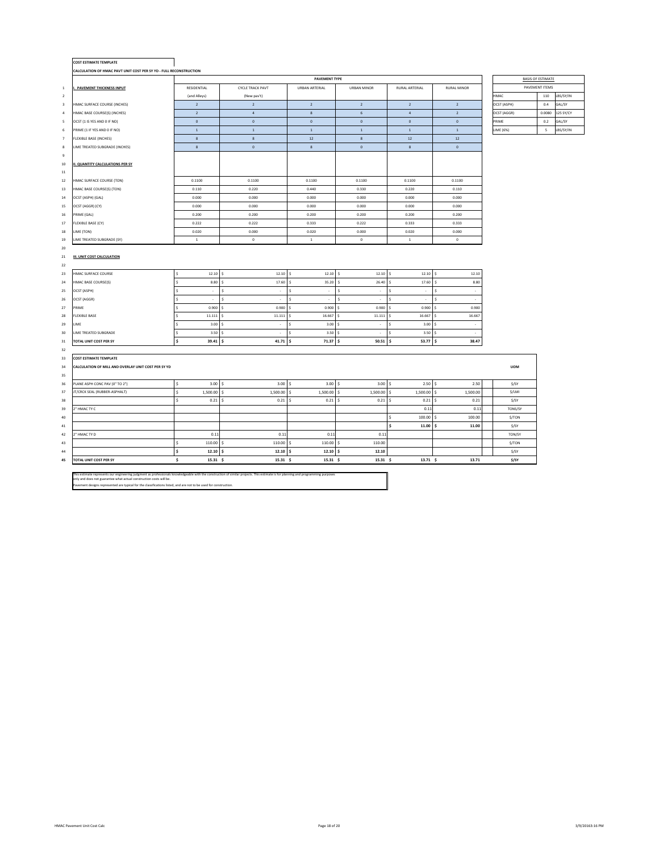| $\mathbf{1}$<br>$\overline{2}$<br>$\mathsf3$<br>$\,4$<br>5<br>$\,$ 6<br>$\tau$ | CALCULATION OF HMAC PAVT UNIT COST PER SY YD - FULL RECONSTRUCTION<br>I. PAVEMENT THICKNESS INPUT<br>HMAC SURFACE COURSE (INCHES)<br>HMAC BASE COURSE(S) (INCHES)<br>OCST (1 IS YES AND 0 IF NO)<br>PRIME (1 IF YES AND 0 IF NO)<br><b>FLEXIBLE BASE (INCHES)</b><br>LIME TREATED SUBGRADE (INCHES)<br><b>II. QUANTITY CALCULATIONS PER SY</b> | RESIDENTIAL<br>(and Alleys)<br>$\overline{2}$<br>$\sqrt{2}$<br>$\mathbf 0$<br>$\,$ 1 $\,$<br>$\bf8$<br>$\bf8$ | <b>CYCLE TRACK PAVT</b><br>(New pav't)<br>$\overline{2}$<br>$\sqrt{4}$<br>$\mathbf 0$<br>$\,$ $\,$<br>$\bf{8}$ | PAVEMENT TYPE<br>URBAN ARTERIAL<br>$\overline{2}$<br>$\bf8$<br>$\mathbf 0$<br>$\,$ 1 $\,$ | <b>URBAN MINOR</b><br>$\overline{2}$<br>$\,$ 6 $\,$<br>$\mathbf{0}$ | <b>RURAL ARTERIAL</b><br>$\overline{2}$<br>$\sqrt{4}$ | <b>RURAL MINOR</b><br>$\overline{2}$ | HMAC<br>OCST (ASPH) | <b>BASIS OF ESTIMATE</b><br>PAVEMENT ITEMS<br>110 |           |
|--------------------------------------------------------------------------------|------------------------------------------------------------------------------------------------------------------------------------------------------------------------------------------------------------------------------------------------------------------------------------------------------------------------------------------------|---------------------------------------------------------------------------------------------------------------|----------------------------------------------------------------------------------------------------------------|-------------------------------------------------------------------------------------------|---------------------------------------------------------------------|-------------------------------------------------------|--------------------------------------|---------------------|---------------------------------------------------|-----------|
|                                                                                |                                                                                                                                                                                                                                                                                                                                                |                                                                                                               |                                                                                                                |                                                                                           |                                                                     |                                                       |                                      |                     |                                                   |           |
|                                                                                |                                                                                                                                                                                                                                                                                                                                                |                                                                                                               |                                                                                                                |                                                                                           |                                                                     |                                                       |                                      |                     |                                                   |           |
|                                                                                |                                                                                                                                                                                                                                                                                                                                                |                                                                                                               |                                                                                                                |                                                                                           |                                                                     |                                                       |                                      |                     |                                                   |           |
|                                                                                |                                                                                                                                                                                                                                                                                                                                                |                                                                                                               |                                                                                                                |                                                                                           |                                                                     |                                                       |                                      |                     |                                                   | LBS/SY/IN |
|                                                                                |                                                                                                                                                                                                                                                                                                                                                |                                                                                                               |                                                                                                                |                                                                                           |                                                                     |                                                       |                                      |                     | 0.4                                               | GAL/SY    |
|                                                                                |                                                                                                                                                                                                                                                                                                                                                |                                                                                                               |                                                                                                                |                                                                                           |                                                                     |                                                       | $\mathbf{2}$                         | OCST (AGGR)         | 0.0080                                            | 125 SY/CY |
|                                                                                |                                                                                                                                                                                                                                                                                                                                                |                                                                                                               |                                                                                                                |                                                                                           |                                                                     | $\mathbf 0$                                           | $\,0\,$                              | PRIME               | 0.2                                               | GAL/SY    |
|                                                                                |                                                                                                                                                                                                                                                                                                                                                |                                                                                                               |                                                                                                                |                                                                                           | $\,$ 1 $\,$                                                         | $\,$ $\,$                                             | $\,$ 1 $\,$                          | LIME (6%)           | 5                                                 | LBS/SY/IN |
|                                                                                |                                                                                                                                                                                                                                                                                                                                                |                                                                                                               |                                                                                                                | $12\,$                                                                                    | $\bf8$                                                              | $12\,$                                                | $12\,$                               |                     |                                                   |           |
| 8                                                                              |                                                                                                                                                                                                                                                                                                                                                |                                                                                                               | $\mathbf 0$                                                                                                    | $\bf{8}$                                                                                  | $\mathbf 0$                                                         | $\bf{8}$                                              | $\,0\,$                              |                     |                                                   |           |
| $\mathsf g$                                                                    |                                                                                                                                                                                                                                                                                                                                                |                                                                                                               |                                                                                                                |                                                                                           |                                                                     |                                                       |                                      |                     |                                                   |           |
| $10\,$                                                                         |                                                                                                                                                                                                                                                                                                                                                |                                                                                                               |                                                                                                                |                                                                                           |                                                                     |                                                       |                                      |                     |                                                   |           |
| $11\,$                                                                         |                                                                                                                                                                                                                                                                                                                                                |                                                                                                               |                                                                                                                |                                                                                           |                                                                     |                                                       |                                      |                     |                                                   |           |
| 12                                                                             | HMAC SURFACE COURSE (TON)                                                                                                                                                                                                                                                                                                                      | 0.1100                                                                                                        | 0.1100                                                                                                         | 0.1100                                                                                    | 0.1100                                                              | 0.1100                                                | 0.1100                               |                     |                                                   |           |
| 13                                                                             | HMAC BASE COURSE(S) (TON)                                                                                                                                                                                                                                                                                                                      | 0.110                                                                                                         | 0.220                                                                                                          | 0.440                                                                                     | 0.330                                                               | 0.220                                                 | 0.110                                |                     |                                                   |           |
| $14\,$                                                                         | OCST (ASPH) (GAL)                                                                                                                                                                                                                                                                                                                              | 0.000                                                                                                         | 0.000                                                                                                          | 0.000                                                                                     | 0.000                                                               | 0.000                                                 | 0.000                                |                     |                                                   |           |
| 15                                                                             | OCST (AGGR) (CY)                                                                                                                                                                                                                                                                                                                               | 0.000                                                                                                         | 0.000                                                                                                          | 0.000                                                                                     | 0.000                                                               | 0.000                                                 | 0.000                                |                     |                                                   |           |
| 16                                                                             | PRIME (GAL)                                                                                                                                                                                                                                                                                                                                    | 0.200                                                                                                         | 0.200                                                                                                          | 0.200                                                                                     | 0.200                                                               | 0.200                                                 | 0.200                                |                     |                                                   |           |
| 17                                                                             | <b>FLEXIBLE BASE (CY)</b>                                                                                                                                                                                                                                                                                                                      | 0.222                                                                                                         | 0.222                                                                                                          | 0.333                                                                                     | 0.222                                                               | 0.333                                                 | 0.333                                |                     |                                                   |           |
| $18\,$                                                                         | LIME (TON)                                                                                                                                                                                                                                                                                                                                     | 0.020                                                                                                         | 0.000                                                                                                          | 0.020                                                                                     | 0.000                                                               | 0.020                                                 | 0.000                                |                     |                                                   |           |
| 19                                                                             | LIME TREATED SUBGRADE (SY)                                                                                                                                                                                                                                                                                                                     | $\,$ 1 $\,$                                                                                                   | $\mathbb O$                                                                                                    | $\,$ 1 $\,$                                                                               | $\mathbb O$                                                         | $\,1\,$                                               | $\,0\,$                              |                     |                                                   |           |
| 20                                                                             |                                                                                                                                                                                                                                                                                                                                                |                                                                                                               |                                                                                                                |                                                                                           |                                                                     |                                                       |                                      |                     |                                                   |           |
| 21                                                                             | III. UNIT COST CALCULATION                                                                                                                                                                                                                                                                                                                     |                                                                                                               |                                                                                                                |                                                                                           |                                                                     |                                                       |                                      |                     |                                                   |           |
| 22                                                                             |                                                                                                                                                                                                                                                                                                                                                |                                                                                                               |                                                                                                                |                                                                                           |                                                                     |                                                       |                                      |                     |                                                   |           |
| 23                                                                             | HMAC SURFACE COURSE                                                                                                                                                                                                                                                                                                                            | 12.10<br>\$                                                                                                   | 12.10<br>l s                                                                                                   | 12.10<br>\$                                                                               | 12.10<br>$\mathsf{S}$                                               | 12.10<br>\$                                           | 12.10<br>\$                          |                     |                                                   |           |
| 24                                                                             | HMAC BASE COURSE(S)                                                                                                                                                                                                                                                                                                                            | 8.80<br>Ś                                                                                                     | 17.60<br>$\ddot{\phantom{1}}$                                                                                  | 35.20<br>Ś                                                                                | 26.40<br>s,                                                         | 17.60<br>÷.                                           | Ś<br>8.80                            |                     |                                                   |           |
| 25                                                                             | <b>OCST (ASPH)</b>                                                                                                                                                                                                                                                                                                                             | Ś<br>$\lambda$                                                                                                | s<br>$\epsilon$                                                                                                | $\sf s$<br>$\sim$                                                                         | s<br>$\lambda$                                                      | Ś<br>$\sim$                                           | ¢.<br>$\sim$                         |                     |                                                   |           |
| 26                                                                             | OCST (AGGR)                                                                                                                                                                                                                                                                                                                                    | ¢.<br>$\cdot$                                                                                                 | $\hat{\mathbf{v}}$<br>$\cdot$                                                                                  | ś<br>$\sim$                                                                               | ٩<br>$\cdot$                                                        | $\sim$                                                | ¢<br>÷.                              |                     |                                                   |           |
| 27<br>PRIME                                                                    |                                                                                                                                                                                                                                                                                                                                                | 0.900<br>Ś                                                                                                    | 0.900                                                                                                          | 0.900                                                                                     | 0.900                                                               | 0.900                                                 | 0.900<br>Ś.                          |                     |                                                   |           |
| 28                                                                             | <b>FLEXIBLE BASE</b>                                                                                                                                                                                                                                                                                                                           | 11.111                                                                                                        | 11.111                                                                                                         | 16.667                                                                                    | 11.111                                                              | 16.667                                                | 16.667                               |                     |                                                   |           |
| 29<br>LIME                                                                     |                                                                                                                                                                                                                                                                                                                                                | ¢<br>3.00                                                                                                     | $\sim$<br>¢,                                                                                                   | 3.00<br>¢                                                                                 | $\sim$                                                              | $\ddot{\phantom{0}}$<br>3.00                          | $\sim$<br>ς.                         |                     |                                                   |           |
| 30                                                                             | <b>LIME TREATED SUBGRADE</b>                                                                                                                                                                                                                                                                                                                   | 3.50<br>ς.                                                                                                    | $\sim$                                                                                                         | 3.50<br>۹                                                                                 | ۰.                                                                  | 3.50<br>\$                                            | ÷.                                   |                     |                                                   |           |
| 31                                                                             | TOTAL UNIT COST PER SY                                                                                                                                                                                                                                                                                                                         | \$.<br>39.41                                                                                                  | 41.71<br>\$.                                                                                                   | 71.37<br>\$.                                                                              | 50.51<br>¢                                                          | 53.77<br>\$.                                          | 38.47<br>\$.                         |                     |                                                   |           |
| 32                                                                             |                                                                                                                                                                                                                                                                                                                                                |                                                                                                               |                                                                                                                |                                                                                           |                                                                     |                                                       |                                      |                     |                                                   |           |
| 33                                                                             | <b>COST ESTIMATE TEMPLATE</b>                                                                                                                                                                                                                                                                                                                  |                                                                                                               |                                                                                                                |                                                                                           |                                                                     |                                                       |                                      |                     |                                                   |           |
| 34                                                                             | CALCULATION OF MILL AND OVERLAY UNIT COST PER SY YD                                                                                                                                                                                                                                                                                            |                                                                                                               |                                                                                                                |                                                                                           |                                                                     |                                                       |                                      | <b>UOM</b>          |                                                   |           |
| 35                                                                             |                                                                                                                                                                                                                                                                                                                                                |                                                                                                               |                                                                                                                |                                                                                           |                                                                     |                                                       |                                      |                     |                                                   |           |
| 36                                                                             | PLANE ASPH CONC PAV (0" TO 2")                                                                                                                                                                                                                                                                                                                 | \$<br>3.00                                                                                                    | 3.00                                                                                                           | 3.00<br>Ś                                                                                 | 3.00<br>s.                                                          | 2.50<br>s                                             | 2.50<br>Ś                            | $$$ /SY             |                                                   |           |
| 37                                                                             | JT/CRCK SEAL (RUBBER-ASPHALT)                                                                                                                                                                                                                                                                                                                  | Ś<br>1,500.00                                                                                                 | 1,500.00                                                                                                       | 1,500.00<br>Ś                                                                             | 1,500.00<br>s                                                       | 1,500.00<br>Ś                                         | Ś<br>1,500.00                        | \$/LMI              |                                                   |           |
| 38                                                                             |                                                                                                                                                                                                                                                                                                                                                | Ś<br>0.21                                                                                                     | 0.21<br>s.                                                                                                     | 0.21<br>Ś                                                                                 | 0.21<br>\$.                                                         | \$<br>0.21                                            | \$<br>0.21                           | S/SY                |                                                   |           |
| 39                                                                             | <sup>"</sup> HMAC TY C                                                                                                                                                                                                                                                                                                                         |                                                                                                               |                                                                                                                |                                                                                           |                                                                     | 0.11                                                  | 0.11                                 | TONS/SY             |                                                   |           |
| 40                                                                             |                                                                                                                                                                                                                                                                                                                                                |                                                                                                               |                                                                                                                |                                                                                           |                                                                     | ś<br>100.00                                           | 100.00<br>×.                         | \$/TON              |                                                   |           |
| 41                                                                             |                                                                                                                                                                                                                                                                                                                                                |                                                                                                               |                                                                                                                |                                                                                           |                                                                     | ś<br>11.00                                            | 11.00<br>ŝ.                          | \$/SY               |                                                   |           |
| 42                                                                             | 2" HMAC TY D                                                                                                                                                                                                                                                                                                                                   | 0.11                                                                                                          | 0.11                                                                                                           | 0.11                                                                                      | 0.11                                                                |                                                       |                                      | TON/SY              |                                                   |           |
| 43                                                                             |                                                                                                                                                                                                                                                                                                                                                | \$<br>110.00                                                                                                  | 110.00<br>s.                                                                                                   | 110.00<br>Ś                                                                               | 110.00<br>s.                                                        |                                                       |                                      | \$/TON              |                                                   |           |
| 44                                                                             |                                                                                                                                                                                                                                                                                                                                                | \$<br>$12.10$ \$                                                                                              | 12.10                                                                                                          | 12.10%<br>Ś                                                                               | 12.10                                                               |                                                       |                                      | $$$ /SY             |                                                   |           |
| 45                                                                             | TOTAL UNIT COST PER SY                                                                                                                                                                                                                                                                                                                         | \$<br>$15.31\frac{6}{5}$                                                                                      | $15.31\frac{6}{5}$                                                                                             | $15.31\frac{6}{5}$                                                                        | $15.31\frac{6}{5}$                                                  | 13.71S                                                | 13.71                                | \$/SY               |                                                   |           |
|                                                                                |                                                                                                                                                                                                                                                                                                                                                |                                                                                                               |                                                                                                                |                                                                                           |                                                                     |                                                       |                                      |                     |                                                   |           |

This estimate represents our engineering judgment as professionals knowledgeable with the construction of similar projects. This estimate is for planning and programming purposes<br>only and does not guarantee what actual con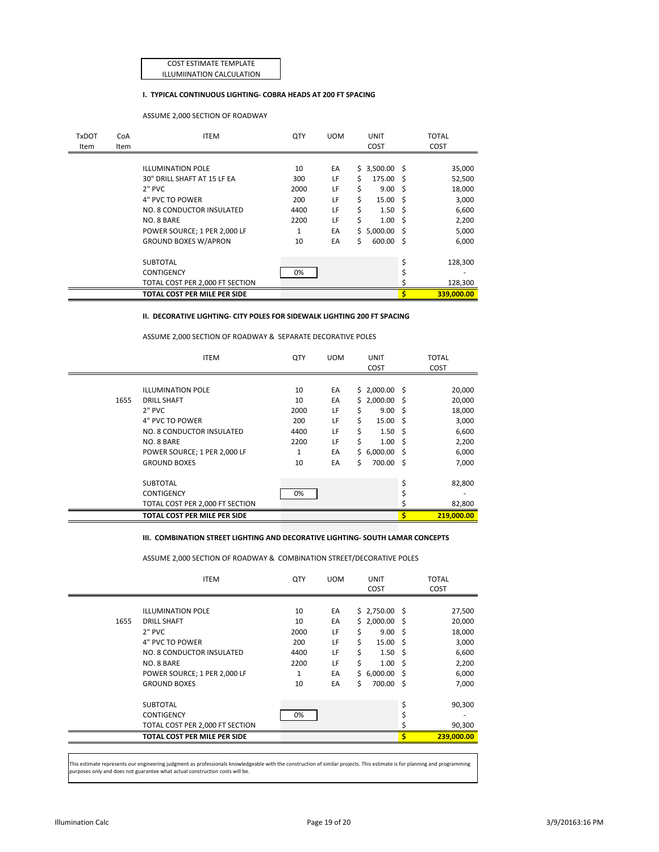COST ESTIMATE TEMPLATE ILLUMIINATION CALCULATION

### **I. TYPICAL CONTINUOUS LIGHTING- COBRA HEADS AT 200 FT SPACING**

ASSUME 2,000 SECTION OF ROADWAY

| <b>TxDOT</b><br>Item | CoA<br>Item | <b>ITEM</b>                     | QTY  | <b>UOM</b> |    | <b>UNIT</b><br>COST |    | <b>TOTAL</b><br>COST |
|----------------------|-------------|---------------------------------|------|------------|----|---------------------|----|----------------------|
|                      |             |                                 |      |            |    |                     |    |                      |
|                      |             | <b>ILLUMINATION POLE</b>        | 10   | EA         |    | \$3,500.00\$        |    | 35,000               |
|                      |             | 30" DRILL SHAFT AT 15 LF EA     | 300  | LF         | Ś. | 175.00 \$           |    | 52,500               |
|                      |             | $2"$ PVC                        | 2000 | LF         | \$ | $9.00 \quad $$      |    | 18,000               |
|                      |             | 4" PVC TO POWER                 | 200  | LF         | Ś  | $15.00 \quad $$     |    | 3,000                |
|                      |             | NO. 8 CONDUCTOR INSULATED       | 4400 | LF         | Ś  | $1.50 \pm 5$        |    | 6,600                |
|                      |             | NO. 8 BARE                      | 2200 | LF         | Ś  | 1.00 <sub>5</sub>   |    | 2,200                |
|                      |             | POWER SOURCE; 1 PER 2,000 LF    | 1    | EA         |    | \$5,000.00\$        |    | 5,000                |
|                      |             | <b>GROUND BOXES W/APRON</b>     | 10   | EA         | Ś. | 600.00 \$           |    | 6,000                |
|                      |             | <b>SUBTOTAL</b>                 |      |            |    |                     | \$ | 128,300              |
|                      |             | <b>CONTIGENCY</b>               | 0%   |            |    |                     |    |                      |
|                      |             | TOTAL COST PER 2,000 FT SECTION |      |            |    |                     |    | 128,300              |
|                      |             | TOTAL COST PER MILE PER SIDE    |      |            |    |                     | Ś  | 339.000.00           |

#### **II. DECORATIVE LIGHTING- CITY POLES FOR SIDEWALK LIGHTING 200 FT SPACING**

ASSUME 2,000 SECTION OF ROADWAY & SEPARATE DECORATIVE POLES

|      | <b>ITEM</b>                                                                                                                                              | QTY                                                     | <b>UOM</b>                             |                        | <b>UNIT</b><br>COST                                                                                                   | <b>TOTAL</b><br>COST                                           |
|------|----------------------------------------------------------------------------------------------------------------------------------------------------------|---------------------------------------------------------|----------------------------------------|------------------------|-----------------------------------------------------------------------------------------------------------------------|----------------------------------------------------------------|
| 1655 | <b>ILLUMINATION POLE</b><br><b>DRILL SHAFT</b><br>$2"$ PVC<br>4" PVC TO POWER<br>NO. 8 CONDUCTOR INSULATED<br>NO. 8 BARE<br>POWER SOURCE; 1 PER 2,000 LF | 10<br>10<br>2000<br>200<br>4400<br>2200<br>$\mathbf{1}$ | EA<br>EA<br>LF<br>LF<br>LF<br>LF<br>EA | Ś<br>Ś<br>Ś<br>Ś<br>Ś. | \$2,000.00\$<br>\$2,000.00\$<br>9.00 <sup>5</sup><br>$15.00 \quad $$<br>$1.50 \pm 5$<br>$1.00 \pm 5$<br>$6,000.00$ \$ | 20,000<br>20,000<br>18,000<br>3,000<br>6,600<br>2,200<br>6,000 |
|      | <b>GROUND BOXES</b><br><b>SUBTOTAL</b><br><b>CONTIGENCY</b><br>TOTAL COST PER 2,000 FT SECTION<br>TOTAL COST PER MILE PER SIDE                           | 10<br>0%                                                | EA                                     | Ś.                     | 700.00 \$                                                                                                             | \$<br>7,000<br>82,800<br>82,800<br>219,000.00                  |

### **III. COMBINATION STREET LIGHTING AND DECORATIVE LIGHTING- SOUTH LAMAR CONCEPTS**

ASSUME 2,000 SECTION OF ROADWAY & COMBINATION STREET/DECORATIVE POLES

|      | <b>ITEM</b>                                                                                                                                                                   | QTY                                                | <b>UOM</b>                                   |                              | <b>UNIT</b><br>COST                                                                                              |             | <b>TOTAL</b><br>COST                                                    |
|------|-------------------------------------------------------------------------------------------------------------------------------------------------------------------------------|----------------------------------------------------|----------------------------------------------|------------------------------|------------------------------------------------------------------------------------------------------------------|-------------|-------------------------------------------------------------------------|
| 1655 | <b>ILLUMINATION POLE</b><br><b>DRILL SHAFT</b><br>2" PVC<br>4" PVC TO POWER<br>NO. 8 CONDUCTOR INSULATED<br>NO. 8 BARE<br>POWER SOURCE; 1 PER 2,000 LF<br><b>GROUND BOXES</b> | 10<br>10<br>2000<br>200<br>4400<br>2200<br>1<br>10 | EA<br>EA<br>LF<br>LF<br>LF<br>LF<br>EA<br>EA | Ś<br>Ś<br>Ś<br>Ś<br>Ś.<br>Ś. | \$2,750.00\$<br>\$2,000.00\$<br>9.00<br>$15.00 \quad $$<br>$1.50 \pm 5$<br>$1.00 \pm 5$<br>6,000.00<br>700.00 \$ | - \$<br>- S | 27,500<br>20,000<br>18,000<br>3,000<br>6,600<br>2,200<br>6,000<br>7,000 |
|      | <b>SUBTOTAL</b><br><b>CONTIGENCY</b><br>TOTAL COST PER 2,000 FT SECTION<br>TOTAL COST PER MILE PER SIDE                                                                       | 0%                                                 |                                              |                              |                                                                                                                  | \$          | 90,300<br>90,300<br>239,000.00                                          |

This estimate represents our engineering judgment as professionals knowledgeable with the construction of similar projects. This estimate is for planning and programming urposes only and does not guarantee what actual construction costs will be.